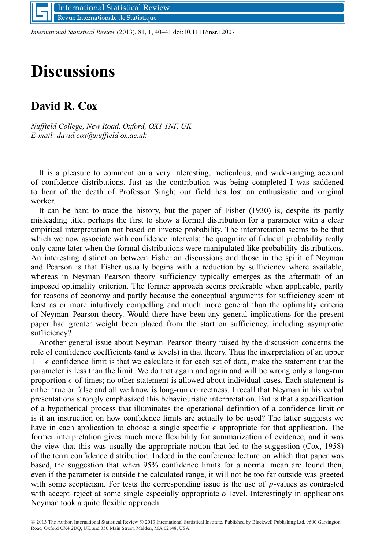*International Statistical Review* (2013), 81, 1, 40–41 doi:10.1111/insr.12007

# **Discussions**

# **David R. Cox**

*Nuffield College, New Road, Oxford, OX1 1NF, UK E-mail: david.cox@nuffield.ox.ac.uk*

It is a pleasure to comment on a very interesting, meticulous, and wide-ranging account of confidence distributions. Just as the contribution was being completed I was saddened to hear of the death of Professor Singh; our field has lost an enthusiastic and original worker.

It can be hard to trace the history, but the paper of Fisher (1930) is, despite its partly misleading title, perhaps the first to show a formal distribution for a parameter with a clear empirical interpretation not based on inverse probability. The interpretation seems to be that which we now associate with confidence intervals; the quagmire of fiducial probability really only came later when the formal distributions were manipulated like probability distributions. An interesting distinction between Fisherian discussions and those in the spirit of Neyman and Pearson is that Fisher usually begins with a reduction by sufficiency where available, whereas in Neyman–Pearson theory sufficiency typically emerges as the aftermath of an imposed optimality criterion. The former approach seems preferable when applicable, partly for reasons of economy and partly because the conceptual arguments for sufficiency seem at least as or more intuitively compelling and much more general than the optimality criteria of Neyman–Pearson theory. Would there have been any general implications for the present paper had greater weight been placed from the start on sufficiency, including asymptotic sufficiency?

Another general issue about Neyman–Pearson theory raised by the discussion concerns the role of confidence coefficients (and  $\alpha$  levels) in that theory. Thus the interpretation of an upper  $1 - \epsilon$  confidence limit is that we calculate it for each set of data, make the statement that the parameter is less than the limit. We do that again and again and will be wrong only a long-run proportion  $\epsilon$  of times; no other statement is allowed about individual cases. Each statement is either true or false and all we know is long-run correctness. I recall that Neyman in his verbal presentations strongly emphasized this behaviouristic interpretation. But is that a specification of a hypothetical process that illuminates the operational definition of a confidence limit or is it an instruction on how confidence limits are actually to be used? The latter suggests we have in each application to choose a single specific  $\epsilon$  appropriate for that application. The former interpretation gives much more flexibility for summarization of evidence, and it was the view that this was usually the appropriate notion that led to the suggestion (Cox, 1958) of the term confidence distribution. Indeed in the conference lecture on which that paper was based, the suggestion that when 95% confidence limits for a normal mean are found then, even if the parameter is outside the calculated range, it will not be too far outside was greeted with some scepticism. For tests the corresponding issue is the use of *p*-values as contrasted with accept–reject at some single especially appropriate  $\alpha$  level. Interestingly in applications Neyman took a quite flexible approach.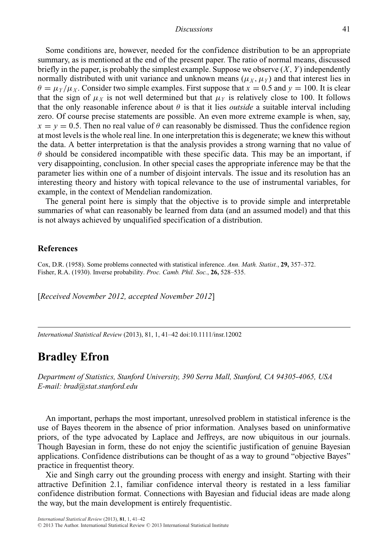Some conditions are, however, needed for the confidence distribution to be an appropriate summary, as is mentioned at the end of the present paper. The ratio of normal means, discussed briefly in the paper, is probably the simplest example. Suppose we observe  $(X, Y)$  independently normally distributed with unit variance and unknown means  $(\mu_X, \mu_Y)$  and that interest lies in  $\theta = \mu_Y/\mu_X$ . Consider two simple examples. First suppose that  $x = 0.5$  and  $y = 100$ . It is clear that the sign of  $\mu_X$  is not well determined but that  $\mu_Y$  is relatively close to 100. It follows that the only reasonable inference about  $\theta$  is that it lies *outside* a suitable interval including zero. Of course precise statements are possible. An even more extreme example is when, say,  $x = y = 0.5$ . Then no real value of  $\theta$  can reasonably be dismissed. Thus the confidence region at most levels is the whole real line. In one interpretation this is degenerate; we knew this without the data. A better interpretation is that the analysis provides a strong warning that no value of  $\theta$  should be considered incompatible with these specific data. This may be an important, if very disappointing, conclusion. In other special cases the appropriate inference may be that the parameter lies within one of a number of disjoint intervals. The issue and its resolution has an interesting theory and history with topical relevance to the use of instrumental variables, for example, in the context of Mendelian randomization.

The general point here is simply that the objective is to provide simple and interpretable summaries of what can reasonably be learned from data (and an assumed model) and that this is not always achieved by unqualified specification of a distribution.

### **References**

Cox, D.R. (1958). Some problems connected with statistical inference. *Ann. Math. Statist.*, **29,** 357–372. Fisher, R.A. (1930). Inverse probability. *Proc. Camb. Phil. Soc.*, **26,** 528–535.

[*Received November 2012, accepted November 2012*]

*International Statistical Review* (2013), 81, 1, 41–42 doi:10.1111/insr.12002

# **Bradley Efron**

*Department of Statistics, Stanford University, 390 Serra Mall, Stanford, CA 94305-4065, USA E-mail: brad@stat.stanford.edu*

An important, perhaps the most important, unresolved problem in statistical inference is the use of Bayes theorem in the absence of prior information. Analyses based on uninformative priors, of the type advocated by Laplace and Jeffreys, are now ubiquitous in our journals. Though Bayesian in form, these do not enjoy the scientific justification of genuine Bayesian applications. Confidence distributions can be thought of as a way to ground "objective Bayes" practice in frequentist theory.

Xie and Singh carry out the grounding process with energy and insight. Starting with their attractive Definition 2.1, familiar confidence interval theory is restated in a less familiar confidence distribution format. Connections with Bayesian and fiducial ideas are made along the way, but the main development is entirely frequentistic.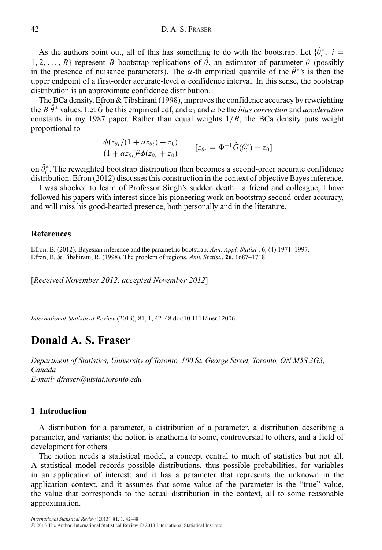As the authors point out, all of this has something to do with the bootstrap. Let  $\{\hat{\theta}_i^*, i =$ 1, 2,..., *B*} represent *B* bootstrap replications of  $\tilde{\theta}$ , an estimator of parameter  $\theta$  (possibly in the presence of nuisance parameters). The  $\alpha$ -th empirical quantile of the  $\hat{\theta}^*$ 's is then the upper endpoint of a first-order accurate-level  $\alpha$  confidence interval. In this sense, the bootstrap distribution is an approximate confidence distribution.

The BCa density, Efron & Tibshirani (1998), improves the confidence accuracy by reweighting the *B*  $\hat{\theta}^*$  values. Let  $\hat{G}$  be this empirical cdf, and  $z_0$  and  $a$  be the *bias correction* and *acceleration* constants in my 1987 paper. Rather than equal weights 1/*B*, the BCa density puts weight proportional to

$$
\frac{\phi(z_{\theta i}/(1 + az_{\theta i}) - z_0)}{(1 + az_{\theta i})^2 \phi(z_{\theta i} + z_0)} \qquad [z_{\theta i} = \Phi^{-1} \hat{G}(\hat{\theta}_i^*) - z_0]
$$

on  $\hat{\theta}_i^*$ . The reweighted bootstrap distribution then becomes a second-order accurate confidence distribution. Efron (2012) discusses this construction in the context of objective Bayes inference.

I was shocked to learn of Professor Singh's sudden death—a friend and colleague, I have followed his papers with interest since his pioneering work on bootstrap second-order accuracy, and will miss his good-hearted presence, both personally and in the literature.

### **References**

Efron, B. (2012). Bayesian inference and the parametric bootstrap. *Ann. Appl. Statist.*, **6**, (4) 1971–1997. Efron, B. & Tibshirani, R. (1998). The problem of regions. *Ann. Statist.*, **26**, 1687–1718.

[*Received November 2012, accepted November 2012*]

*International Statistical Review* (2013), 81, 1, 42–48 doi:10.1111/insr.12006

## **Donald A. S. Fraser**

*Department of Statistics, University of Toronto, 100 St. George Street, Toronto, ON M5S 3G3, Canada E-mail: dfraser@utstat.toronto.edu*

### **1 Introduction**

A distribution for a parameter, a distribution of a parameter, a distribution describing a parameter, and variants: the notion is anathema to some, controversial to others, and a field of development for others.

The notion needs a statistical model, a concept central to much of statistics but not all. A statistical model records possible distributions, thus possible probabilities, for variables in an application of interest; and it has a parameter that represents the unknown in the application context, and it assumes that some value of the parameter is the "true" value, the value that corresponds to the actual distribution in the context, all to some reasonable approximation.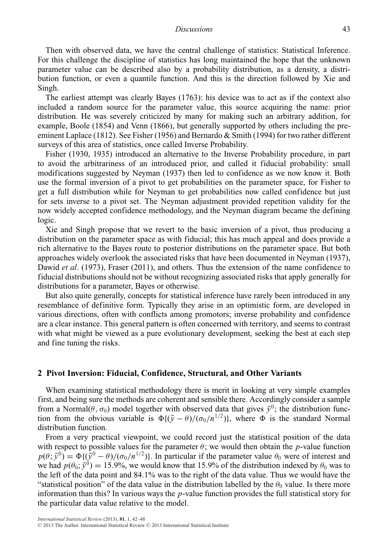### *Discussions* 43

Then with observed data, we have the central challenge of statistics: Statistical Inference. For this challenge the discipline of statistics has long maintained the hope that the unknown parameter value can be described also by a probability distribution, as a density, a distribution function, or even a quantile function. And this is the direction followed by Xie and Singh.

The earliest attempt was clearly Bayes (1763): his device was to act as if the context also included a random source for the parameter value, this source acquiring the name: prior distribution. He was severely criticized by many for making such an arbitrary addition, for example, Boole (1854) and Venn (1866), but generally supported by others including the preeminent Laplace (1812). See Fisher (1956) and Bernardo & Smith (1994) for two rather different surveys of this area of statistics, once called Inverse Probability.

Fisher (1930, 1935) introduced an alternative to the Inverse Probability procedure, in part to avoid the arbitrariness of an introduced prior, and called it fiducial probability: small modifications suggested by Neyman (1937) then led to confidence as we now know it. Both use the formal inversion of a pivot to get probabilities on the parameter space, for Fisher to get a full distribution while for Neyman to get probabilities now called confidence but just for sets inverse to a pivot set. The Neyman adjustment provided repetition validity for the now widely accepted confidence methodology, and the Neyman diagram became the defining logic.

Xie and Singh propose that we revert to the basic inversion of a pivot, thus producing a distribution on the parameter space as with fiducial; this has much appeal and does provide a rich alternative to the Bayes route to posterior distributions on the parameter space. But both approaches widely overlook the associated risks that have been documented in Neyman (1937), Dawid *et al*. (1973), Fraser (2011), and others. Thus the extension of the name confidence to fiducial distributions should not be without recognizing associated risks that apply generally for distributions for a parameter, Bayes or otherwise.

But also quite generally, concepts for statistical inference have rarely been introduced in any resemblance of definitive form. Typically they arise in an optimistic form, are developed in various directions, often with conflicts among promotors; inverse probability and confidence are a clear instance. This general pattern is often concerned with territory, and seems to contrast with what might be viewed as a pure evolutionary development, seeking the best at each step and fine tuning the risks.

### **2 Pivot Inversion: Fiducial, Confidence, Structural, and Other Variants**

When examining statistical methodology there is merit in looking at very simple examples first, and being sure the methods are coherent and sensible there. Accordingly consider a sample from a Normal $(\theta, \sigma_0)$  model together with observed data that gives  $\bar{y}^0$ ; the distribution function from the obvious variable is  $\Phi\{(\bar{y}-\theta)/(\sigma_0/n^{1/2})\}$ , where  $\Phi$  is the standard Normal distribution function.

From a very practical viewpoint, we could record just the statistical position of the data with respect to possible values for the parameter  $\theta$ ; we would then obtain the *p*-value function  $p(\theta; \bar{y}^0) = \Phi\{(\bar{y}^0 - \theta) / (\sigma_0 / n^{1/2})\}$ . In particular if the parameter value  $\theta_0$  were of interest and we had  $p(\theta_0; \bar{y}^0) = 15.9\%$ , we would know that 15.9% of the distribution indexed by  $\theta_0$  was to the left of the data point and 84.1% was to the right of the data value. Thus we would have the "statistical position" of the data value in the distribution labelled by the  $\theta_0$  value. Is there more information than this? In various ways the *p*-value function provides the full statistical story for the particular data value relative to the model.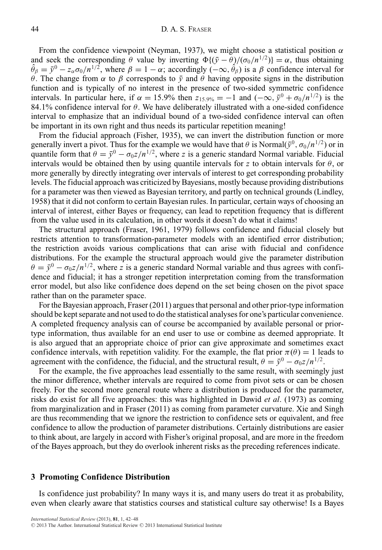#### 44 D. A. S. FRASER

From the confidence viewpoint (Neyman, 1937), we might choose a statistical position  $\alpha$ and seek the corresponding  $\hat{\theta}$  value by inverting  $\Phi\{(\bar{y}-\bar{\theta})/(\sigma_0/n^{1/2})\} = \alpha$ , thus obtaining  $\hat{\theta}_{\beta} = \bar{y}^0 - z_{\alpha}\sigma_0/n^{1/2}$ , where  $\beta = 1 - \alpha$ ; accordingly  $(-\infty, \hat{\theta}_{\beta})$  is a  $\beta$  confidence interval for θ. The change from  $\alpha$  to  $\beta$  corresponds to  $\bar{y}$  and θ having opposite signs in the distribution function and is typically of no interest in the presence of two-sided symmetric confidence intervals. In particular here, if  $\alpha = 15.9\%$  then  $z_{15.9\%} = -1$  and  $(-\infty, \bar{y}^0 + \sigma_0/n^{1/2})$  is the 84.1% confidence interval for  $\theta$ . We have deliberately illustrated with a one-sided confidence interval to emphasize that an individual bound of a two-sided confidence interval can often be important in its own right and thus needs its particular repetition meaning!

From the fiducial approach (Fisher, 1935), we can invert the distribution function or more generally invert a pivot. Thus for the example we would have that  $\theta$  is Normal( $\bar{y}^0$ ,  $\sigma_0/n^{1/2}$ ) or in quantile form that  $\theta = \bar{y}^0 - \sigma_0 z / n^{1/2}$ , where *z* is a generic standard Normal variable. Fiducial intervals would be obtained then by using quantile intervals for *z* to obtain intervals for  $\theta$ , or more generally by directly integrating over intervals of interest to get corresponding probability levels. The fiducial approach was criticized by Bayesians, mostly because providing distributions for a parameter was then viewed as Bayesian territory, and partly on technical grounds (Lindley, 1958) that it did not conform to certain Bayesian rules. In particular, certain ways of choosing an interval of interest, either Bayes or frequency, can lead to repetition frequency that is different from the value used in its calculation, in other words it doesn't do what it claims!

The structural approach (Fraser, 1961, 1979) follows confidence and fiducial closely but restricts attention to transformation-parameter models with an identified error distribution; the restriction avoids various complications that can arise with fiducial and confidence distributions. For the example the structural approach would give the parameter distribution  $\theta = \bar{y}^0 - \sigma_0 z / n^{1/2}$ , where *z* is a generic standard Normal variable and thus agrees with confidence and fiducial; it has a stronger repetition interpretation coming from the transformation error model, but also like confidence does depend on the set being chosen on the pivot space rather than on the parameter space.

For the Bayesian approach, Fraser (2011) argues that personal and other prior-type information should be kept separate and not used to do the statistical analyses for one's particular convenience. A completed frequency analysis can of course be accompanied by available personal or priortype information, thus available for an end user to use or combine as deemed appropriate. It is also argued that an appropriate choice of prior can give approximate and sometimes exact confidence intervals, with repetition validity. For the example, the flat prior  $\pi(\theta) = 1$  leads to agreement with the confidence, the fiducial, and the structural result,  $\theta = \bar{v}^0 - \sigma_0 z/n^{1/2}$ .

For the example, the five approaches lead essentially to the same result, with seemingly just the minor difference, whether intervals are required to come from pivot sets or can be chosen freely. For the second more general route where a distribution is produced for the parameter, risks do exist for all five approaches: this was highlighted in Dawid *et al*. (1973) as coming from marginalization and in Fraser (2011) as coming from parameter curvature. Xie and Singh are thus recommending that we ignore the restriction to confidence sets or equivalent, and free confidence to allow the production of parameter distributions. Certainly distributions are easier to think about, are largely in accord with Fisher's original proposal, and are more in the freedom of the Bayes approach, but they do overlook inherent risks as the preceding references indicate.

### **3 Promoting Confidence Distribution**

Is confidence just probability? In many ways it is, and many users do treat it as probability, even when clearly aware that statistics courses and statistical culture say otherwise! Is a Bayes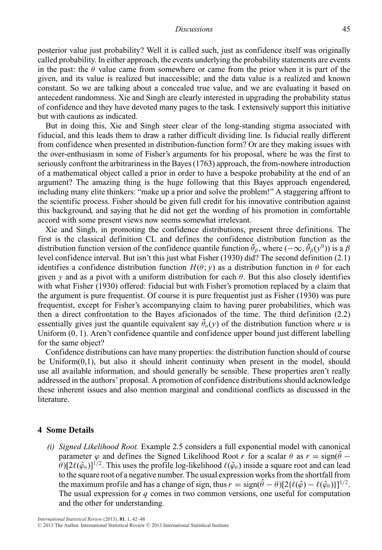posterior value just probability? Well it is called such, just as confidence itself was originally called probability. In either approach, the events underlying the probability statements are events in the past: the  $\theta$  value came from somewhere or came from the prior when it is part of the given, and its value is realized but inaccessible; and the data value is a realized and known constant. So we are talking about a concealed true value, and we are evaluating it based on antecedent randomness. Xie and Singh are clearly interested in upgrading the probability status of confidence and they have devoted many pages to the task. I extensively support this initiative but with cautions as indicated.

But in doing this, Xie and Singh steer clear of the long-standing stigma associated with fiducial, and this leads them to draw a rather difficult dividing line. Is fiducial really different from confidence when presented in distribution-function form? Or are they making issues with the over-enthusiasm in some of Fisher's arguments for his proposal, where he was the first to seriously confront the arbitrariness in the Bayes (1763) approach, the from-nowhere introduction of a mathematical object called a prior in order to have a bespoke probability at the end of an argument? The amazing thing is the huge following that this Bayes approach engendered, including many elite thinkers: "make up a prior and solve the problem!" A staggering affront to the scientific process. Fisher should be given full credit for his innovative contribution against this background, and saying that he did not get the wording of his promotion in comfortable accord with some present views now seems somewhat irrelevant.

Xie and Singh, in promoting the confidence distributions, present three definitions. The first is the classical definition CL and defines the confidence distribution function as the distribution function version of the confidence quantile function  $\tilde{\theta}_{\beta}$ , where  $(-\infty, \tilde{\theta}_{\beta}(y^0))$  is a  $\beta$ level confidence interval. But isn't this just what Fisher (1930) did? The second definition (2.1) identifies a confidence distribution function  $H(\theta; y)$  as a distribution function in  $\theta$  for each given *y* and as a pivot with a uniform distribution for each  $\theta$ . But this also closely identifies with what Fisher (1930) offered: fiducial but with Fisher's promotion replaced by a claim that the argument is pure frequentist. Of course it is pure frequentist just as Fisher (1930) was pure frequentist, except for Fisher's accompanying claim to having purer probabilities, which was then a direct confrontation to the Bayes aficionados of the time. The third definition (2.2) essentially gives just the quantile equivalent say  $\tilde{\theta}_u(y)$  of the distribution function where *u* is Uniform (0, 1). Aren't confidence quantile and confidence upper bound just different labelling for the same object?

Confidence distributions can have many properties: the distribution function should of course be Uniform(0,1), but also it should inherit continuity when present in the model, should use all available information, and should generally be sensible. These properties aren't really addressed in the authors' proposal. A promotion of confidence distributions should acknowledge these inherent issues and also mention marginal and conditional conflicts as discussed in the literature.

### **4 Some Details**

*(i) Signed Likelihood Root.* Example 2.5 considers a full exponential model with canonical parameter  $\varphi$  and defines the Signed Likelihood Root *r* for a scalar  $\theta$  as  $r = sign(\hat{\theta} - \theta)$  $\theta$ )[2 $\ell(\hat{\varphi}_{\theta})$ ]<sup>1/2</sup>. This uses the profile log-likelihood  $\ell(\hat{\varphi}_{\theta})$  inside a square root and can lead to the square root of a negative number. The usual expression works from the shortfall from the maximum profile and has a change of sign, thus  $r = sign(\hat{\theta} - \theta)[2\{\ell(\hat{\varphi}) - \ell(\hat{\varphi}_{\theta})\}]^{1/2}$ . The usual expression for *q* comes in two common versions, one useful for computation and the other for understanding.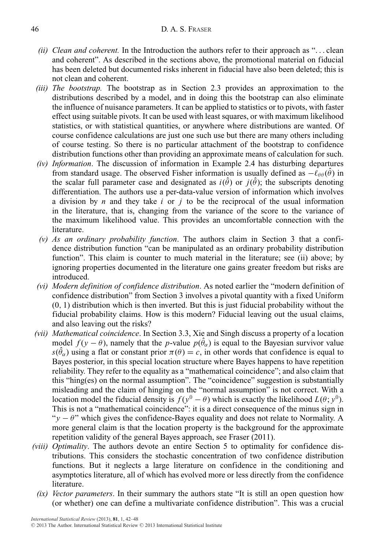- *(ii) Clean and coherent.* In the Introduction the authors refer to their approach as "... clean and coherent". As described in the sections above, the promotional material on fiducial has been deleted but documented risks inherent in fiducial have also been deleted; this is not clean and coherent.
- *(iii) The bootstrap.* The bootstrap as in Section 2.3 provides an approximation to the distributions described by a model, and in doing this the bootstrap can also eliminate the influence of nuisance parameters. It can be applied to statistics or to pivots, with faster effect using suitable pivots. It can be used with least squares, or with maximum likelihood statistics, or with statistical quantities, or anywhere where distributions are wanted. Of course confidence calculations are just one such use but there are many others including of course testing. So there is no particular attachment of the bootstrap to confidence distribution functions other than providing an approximate means of calculation for such.
- *(iv) Information*. The discussion of information in Example 2.4 has disturbing departures from standard usage. The observed Fisher information is usually defined as  $-\ell_{\theta\theta}(\hat{\theta})$  in the scalar full parameter case and designated as  $i(\hat{\theta})$  or  $j(\hat{\theta})$ ; the subscripts denoting differentiation. The authors use a per-data-value version of information which involves a division by *n* and they take *i* or *j* to be the reciprocal of the usual information in the literature, that is, changing from the variance of the score to the variance of the maximum likelihood value. This provides an uncomfortable connection with the literature.
- *(v) As an ordinary probability function*. The authors claim in Section 3 that a confidence distribution function "can be manipulated as an ordinary probability distribution function". This claim is counter to much material in the literature; see (ii) above; by ignoring properties documented in the literature one gains greater freedom but risks are introduced.
- *(vi) Modern definition of confidence distribution*. As noted earlier the "modern definition of confidence distribution" from Section 3 involves a pivotal quantity with a fixed Uniform (0, 1) distribution which is then inverted. But this is just fiducial probability without the fiducial probability claims. How is this modern? Fiducial leaving out the usual claims, and also leaving out the risks?
- *(vii) Mathematical coincidence*. In Section 3.3, Xie and Singh discuss a property of a location model  $f(y - \theta)$ , namely that the *p*-value  $p(\hat{\theta}_{\alpha})$  is equal to the Bayesian survivor value  $s(\hat{\theta}_{\alpha})$  using a flat or constant prior  $\pi(\theta) = c$ , in other words that confidence is equal to Bayes posterior, in this special location structure where Bayes happens to have repetition reliability. They refer to the equality as a "mathematical coincidence"; and also claim that this "hing(es) on the normal assumption". The "coincidence" suggestion is substantially misleading and the claim of hinging on the "normal assumption" is not correct. With a location model the fiducial density is  $f(y^0 - \theta)$  which is exactly the likelihood  $L(\theta; y^0)$ . This is not a "mathematical coincidence": it is a direct consequence of the minus sign in " $y - \theta$ " which gives the confidence-Bayes equality and does not relate to Normality. A more general claim is that the location property is the background for the approximate repetition validity of the general Bayes approach, see Fraser (2011).
- *(viii) Optimality*. The authors devote an entire Section 5 to optimality for confidence distributions. This considers the stochastic concentration of two confidence distribution functions. But it neglects a large literature on confidence in the conditioning and asymptotics literature, all of which has evolved more or less directly from the confidence literature.
	- *(ix) Vector parameters*. In their summary the authors state "It is still an open question how (or whether) one can define a multivariate confidence distribution". This was a crucial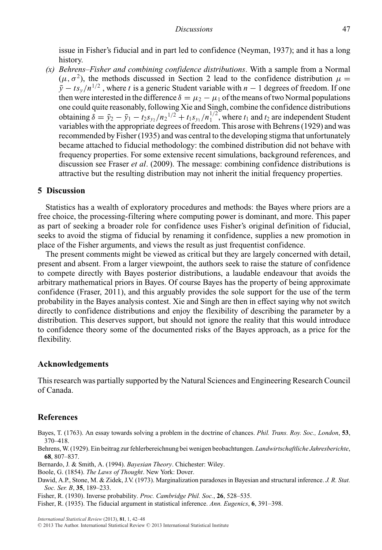issue in Fisher's fiducial and in part led to confidence (Neyman, 1937); and it has a long history.

*(x) Behrens–Fisher and combining confidence distributions*. With a sample from a Normal  $(\mu, \sigma^2)$ , the methods discussed in Section 2 lead to the confidence distribution  $\mu =$  $\bar{y} - t s_y/n^{1/2}$ , where *t* is a generic Student variable with *n* − 1 degrees of freedom. If one then were interested in the difference  $\delta = \mu_2 - \mu_1$  of the means of two Normal populations one could quite reasonably, following Xie and Singh, combine the confidence distributions obtaining  $\delta = \bar{y}_2 - \bar{y}_1 - t_2 s_{y_2} / n_2^{1/2} + t_1 s_{y_1} / n_1^{1/2}$ , where  $t_1$  and  $t_2$  are independent Student variables with the appropriate degrees of freedom. This arose with Behrens (1929) and was recommended by Fisher (1935) and was central to the developing stigma that unfortunately became attached to fiducial methodology: the combined distribution did not behave with frequency properties. For some extensive recent simulations, background references, and discussion see Fraser *et al*. (2009). The message: combining confidence distributions is attractive but the resulting distribution may not inherit the initial frequency properties.

### **5 Discussion**

Statistics has a wealth of exploratory procedures and methods: the Bayes where priors are a free choice, the processing-filtering where computing power is dominant, and more. This paper as part of seeking a broader role for confidence uses Fisher's original definition of fiducial, seeks to avoid the stigma of fiducial by renaming it confidence, supplies a new promotion in place of the Fisher arguments, and views the result as just frequentist confidence.

The present comments might be viewed as critical but they are largely concerned with detail, present and absent. From a larger viewpoint, the authors seek to raise the stature of confidence to compete directly with Bayes posterior distributions, a laudable endeavour that avoids the arbitrary mathematical priors in Bayes. Of course Bayes has the property of being approximate confidence (Fraser, 2011), and this arguably provides the sole support for the use of the term probability in the Bayes analysis contest. Xie and Singh are then in effect saying why not switch directly to confidence distributions and enjoy the flexibility of describing the parameter by a distribution. This deserves support, but should not ignore the reality that this would introduce to confidence theory some of the documented risks of the Bayes approach, as a price for the flexibility.

### **Acknowledgements**

This research was partially supported by the Natural Sciences and Engineering Research Council of Canada.

### **References**

Bayes, T. (1763). An essay towards solving a problem in the doctrine of chances. *Phil. Trans. Roy. Soc., London*, **53**, 370–418.

- Behrens,W. (1929). Ein beitrag zur fehlerbereichnung bei wenigen beobachtungen. *Landwirtschaftliche Jahresberichte*, **68**, 807–837.
- Bernardo, J. & Smith, A. (1994). *Bayesian Theory*. Chichester: Wiley.
- Boole, G. (1854). *The Laws of Thought*. New York: Dover.
- Dawid, A.P., Stone, M. & Zidek, J.V. (1973). Marginalization paradoxes in Bayesian and structural inference. *J. R. Stat. Soc. Ser. B*, **35**, 189–233.
- Fisher, R. (1930). Inverse probability. *Proc. Cambridge Phil. Soc.*, **26**, 528–535.
- Fisher, R. (1935). The fiducial argument in statistical inference. *Ann. Eugenics*, **6**, 391–398.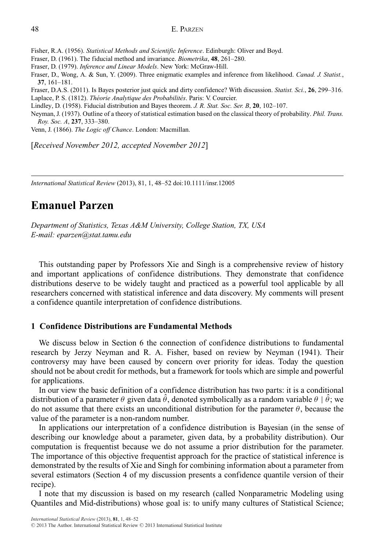Fisher, R.A. (1956). *Statistical Methods and Scientific Inference*. Edinburgh: Oliver and Boyd.

Fraser, D. (1961). The fiducial method and invariance. *Biometrika*, **48**, 261–280.

Fraser, D. (1979). *Inference and Linear Models*. New York: McGraw-Hill.

Fraser, D., Wong, A. & Sun, Y. (2009). Three enigmatic examples and inference from likelihood. *Canad. J. Statist.*, **37**, 161–181.

Fraser, D.A.S. (2011). Is Bayes posterior just quick and dirty confidence? With discussion. *Statist. Sci.*, **26**, 299–316. Laplace, P. S. (1812). *Théorie Analytique des Probabilités*. Paris: V. Courcier.

Lindley, D. (1958). Fiducial distribution and Bayes theorem. *J. R. Stat. Soc. Ser. B*, **20**, 102–107.

Neyman, J. (1937). Outline of a theory of statistical estimation based on the classical theory of probability. *Phil. Trans. Roy. Soc. A*, **237**, 333–380.

Venn, J. (1866). *The Logic off Chance*. London: Macmillan.

[*Received November 2012, accepted November 2012*]

*International Statistical Review* (2013), 81, 1, 48–52 doi:10.1111/insr.12005

## **Emanuel Parzen**

*Department of Statistics, Texas A&M University, College Station, TX, USA E-mail: eparzen@stat.tamu.edu*

This outstanding paper by Professors Xie and Singh is a comprehensive review of history and important applications of confidence distributions. They demonstrate that confidence distributions deserve to be widely taught and practiced as a powerful tool applicable by all researchers concerned with statistical inference and data discovery. My comments will present a confidence quantile interpretation of confidence distributions.

### **1 Confidence Distributions are Fundamental Methods**

We discuss below in Section 6 the connection of confidence distributions to fundamental research by Jerzy Neyman and R. A. Fisher, based on review by Neyman (1941). Their controversy may have been caused by concern over priority for ideas. Today the question should not be about credit for methods, but a framework for tools which are simple and powerful for applications.

In our view the basic definition of a confidence distribution has two parts: it is a conditional distribution of a parameter  $\theta$  given data  $\hat{\theta}$ , denoted symbolically as a random variable  $\theta | \hat{\theta}$ ; we do not assume that there exists an unconditional distribution for the parameter  $\theta$ , because the value of the parameter is a non-random number.

In applications our interpretation of a confidence distribution is Bayesian (in the sense of describing our knowledge about a parameter, given data, by a probability distribution). Our computation is frequentist because we do not assume a prior distribution for the parameter. The importance of this objective frequentist approach for the practice of statistical inference is demonstrated by the results of Xie and Singh for combining information about a parameter from several estimators (Section 4 of my discussion presents a confidence quantile version of their recipe).

I note that my discussion is based on my research (called Nonparametric Modeling using Quantiles and Mid-distributions) whose goal is: to unify many cultures of Statistical Science;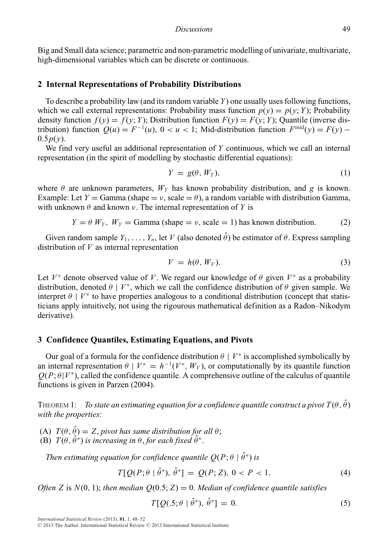Big and Small data science; parametric and non-parametric modelling of univariate, multivariate, high-dimensional variables which can be discrete or continuous.

### **2 Internal Representations of Probability Distributions**

To describe a probability law (and its random variable *Y* ) one usually uses following functions, which we call external representations: Probability mass function  $p(v) = p(v; Y)$ ; Probability density function  $f(y) = f(y; Y)$ ; Distribution function  $F(y) = F(y; Y)$ ; Quantile (inverse distribution) function  $Q(u) = F^{-1}(u)$ ,  $0 < u < 1$ ; Mid-distribution function  $F^{\text{mid}}(v) = F(v)$  $0.5 p(v)$ .

We find very useful an additional representation of *Y* continuous, which we call an internal representation (in the spirit of modelling by stochastic differential equations):

$$
Y = g(\theta, W_Y), \tag{1}
$$

where  $\theta$  are unknown parameters,  $W_Y$  has known probability distribution, and *g* is known. Example: Let *Y* = Gamma (shape = *v*, scale =  $\theta$ ), a random variable with distribution Gamma, with unknown  $\theta$  and known  $\nu$ . The internal representation of *Y* is

$$
Y = \theta W_Y, W_Y = \text{Gamma (shape = v, scale = 1) has known distribution.}
$$
 (2)

Given random sample  $Y_1, \ldots, Y_n$ , let V (also denoted  $\hat{\theta}$ ) be estimator of  $\theta$ . Express sampling distribution of *V* as internal representation

$$
V = h(\theta, W_V). \tag{3}
$$

Let  $V^*$  denote observed value of V. We regard our knowledge of  $\theta$  given  $V^*$  as a probability distribution, denoted  $\theta \mid V^*$ , which we call the confidence distribution of  $\theta$  given sample. We interpret  $\theta \mid V^*$  to have properties analogous to a conditional distribution (concept that statisticians apply intuitively, not using the rigourous mathematical definition as a Radon–Nikodym derivative).

### **3 Confidence Quantiles, Estimating Equations, and Pivots**

Our goal of a formula for the confidence distribution  $\theta \mid V^*$  is accomplished symbolically by an internal representation  $\theta \mid V^* = h^{-1}(V^*, W_V)$ , or computationally by its quantile function  $O(P;\theta|V^*)$ , called the confidence quantile. A comprehensive outline of the calculus of quantile functions is given in Parzen (2004).

THEOREM 1: *To state an estimating equation for a confidence quantile construct a pivot*  $T(\theta, \hat{\theta})$ *with the properties*:

(A)  $T(\theta, \hat{\theta}) = Z$ , *pivot has same distribution for all*  $\theta$ ; (B)  $T(\theta, \hat{\theta}^*)$  *is increasing in*  $\theta$ , *for each fixed*  $\hat{\theta}^*$ .

*Then estimating equation for confidence quantile*  $O(P;\theta | \hat{\theta}^*)$  *is* 

$$
T[Q(P; \theta | \hat{\theta}^*), \hat{\theta}^*] = Q(P; Z), \ 0 < P < 1. \tag{4}
$$

*Often Z* is  $N(0, 1)$ ; *then median Q*(0.5; *Z*) = 0. *Median of confidence quantile satisfies* 

$$
T[Q(.5; \theta \mid \hat{\theta}^*), \hat{\theta}^*] = 0. \tag{5}
$$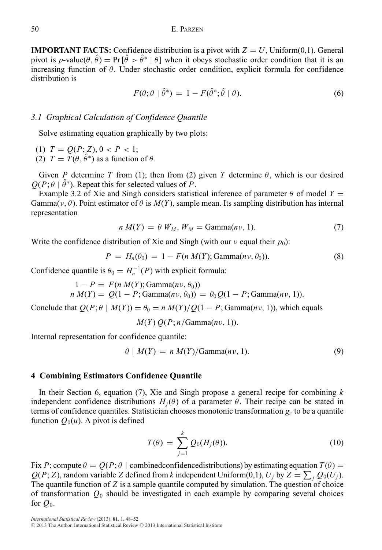**IMPORTANT FACTS:** Confidence distribution is a pivot with  $Z = U$ , Uniform(0,1). General pivot is *p*-value( $\theta$ ,  $\hat{\theta}$ ) = Pr [ $\hat{\theta} > \hat{\theta}^*$  |  $\theta$ ] when it obeys stochastic order condition that it is an increasing function of  $\theta$ . Under stochastic order condition, explicit formula for confidence distribution is

$$
F(\theta; \theta \mid \hat{\theta}^*) = 1 - F(\hat{\theta}^*; \hat{\theta} \mid \theta). \tag{6}
$$

### *3.1 Graphical Calculation of Confidence Quantile*

Solve estimating equation graphically by two plots:

(1)  $T = Q(P; Z), 0 < P < 1;$ 

(2)  $T = T(\theta, \hat{\theta}^*)$  as a function of  $\theta$ .

Given *P* determine *T* from (1); then from (2) given *T* determine  $\theta$ , which is our desired  $Q(P; \theta | \hat{\theta}^*)$ . Repeat this for selected values of *P*.

Example 3.2 of Xie and Singh considers statistical inference of parameter  $\theta$  of model  $Y =$ Gamma( $\nu$ ,  $\theta$ ). Point estimator of  $\theta$  is  $M(Y)$ , sample mean. Its sampling distribution has internal representation

$$
n M(Y) = \theta W_M, W_M = \text{Gamma}(n\nu, 1). \tag{7}
$$

Write the confidence distribution of Xie and Singh (with our  $\nu$  equal their  $p_0$ ):

$$
P = H_n(\theta_0) = 1 - F(n M(Y); \text{Gamma}(nv, \theta_0)). \tag{8}
$$

Confidence quantile is  $\theta_0 = H_n^{-1}(P)$  with explicit formula:

$$
1 - P = F(n M(Y); \text{Gamma}(n \nu, \theta_0))
$$
  

$$
n M(Y) = Q(1 - P; \text{Gamma}(n \nu, \theta_0)) = \theta_0 Q(1 - P; \text{Gamma}(n \nu, 1)).
$$

Conclude that  $Q(P; \theta | M(Y)) = \theta_0 = n M(Y)/Q(1 - P; \text{Gamma}(n \nu, 1)),$  which equals

 $M(Y) Q(P; n / \text{Gamma}(n \nu, 1)).$ 

Internal representation for confidence quantile:

$$
\theta \mid M(Y) = n M(Y) / \text{Gamma}(n v, 1). \tag{9}
$$

### **4 Combining Estimators Confidence Quantile**

In their Section 6, equation (7), Xie and Singh propose a general recipe for combining *k* independent confidence distributions  $H_i(\theta)$  of a parameter  $\theta$ . Their recipe can be stated in terms of confidence quantiles. Statistician chooses monotonic transformation *gc* to be a quantile function  $Q_0(u)$ . A pivot is defined

$$
T(\theta) = \sum_{j=1}^{k} Q_0(H_j(\theta)).
$$
\n(10)

Fix *P*; compute  $\theta = Q(P;\theta |$  combined confidence distributions) by estimating equation  $T(\theta)$  =  $Q(P; Z)$ , random variable *Z* defined from *k* independent Uniform(0,1),  $U_j$  by  $Z = \sum_j Q_0(U_j)$ . The quantile function of  $Z$  is a sample quantile computed by simulation. The question of choice of transformation  $Q_0$  should be investigated in each example by comparing several choices for  $O_0$ .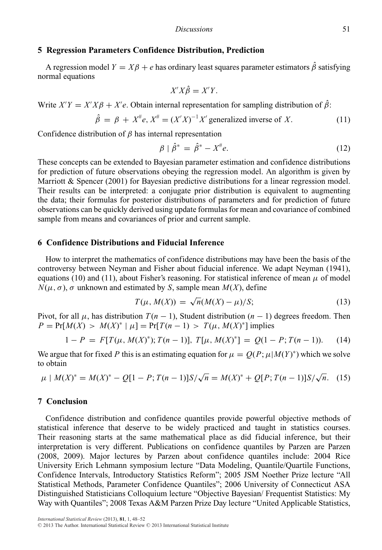### **5 Regression Parameters Confidence Distribution, Prediction**

A regression model  $Y = X\beta + e$  has ordinary least squares parameter estimators  $\hat{\beta}$  satisfying normal equations

$$
X'X\hat{\beta} = X'Y.
$$

Write  $X'Y = X'X\beta + X'e$ . Obtain internal representation for sampling distribution of  $\hat{\beta}$ :

$$
\hat{\beta} = \beta + X^{\#}e, X^{\#} = (X'X)^{-1}X'
$$
 generalized inverse of X. (11)

Confidence distribution of  $\beta$  has internal representation

$$
\beta \mid \hat{\beta}^* = \hat{\beta}^* - X^\# e. \tag{12}
$$

These concepts can be extended to Bayesian parameter estimation and confidence distributions for prediction of future observations obeying the regression model. An algorithm is given by Marriott & Spencer (2001) for Bayesian predictive distributions for a linear regression model. Their results can be interpreted: a conjugate prior distribution is equivalent to augmenting the data; their formulas for posterior distributions of parameters and for prediction of future observations can be quickly derived using update formulas for mean and covariance of combined sample from means and covariances of prior and current sample.

### **6 Confidence Distributions and Fiducial Inference**

How to interpret the mathematics of confidence distributions may have been the basis of the controversy between Neyman and Fisher about fiducial inference. We adapt Neyman (1941), equations (10) and (11), about Fisher's reasoning. For statistical inference of mean  $\mu$  of model  $N(\mu, \sigma)$ ,  $\sigma$  unknown and estimated by *S*, sample mean  $M(X)$ , define

$$
T(\mu, M(X)) = \sqrt{n}(M(X) - \mu)/S;
$$
\n(13)

Pivot, for all  $\mu$ , has distribution  $T(n-1)$ , Student distribution  $(n-1)$  degrees freedom. Then  $P = Pr[M(X) > M(X)^* | \mu] = Pr[T(n-1) > T(\mu, M(X)^*]$  implies

$$
1 - P = F[T(\mu, M(X)^*); T(n-1)], T[\mu, M(X)^*] = Q(1 - P; T(n-1)).
$$
 (14)

We argue that for fixed *P* this is an estimating equation for  $\mu = Q(P; \mu | M(Y)^*)$  which we solve to obtain

$$
\mu \mid M(X)^{*} = M(X)^{*} - Q[1 - P; T(n - 1)]S/\sqrt{n} = M(X)^{*} + Q[P; T(n - 1)]S/\sqrt{n}.
$$
 (15)

### **7 Conclusion**

Confidence distribution and confidence quantiles provide powerful objective methods of statistical inference that deserve to be widely practiced and taught in statistics courses. Their reasoning starts at the same mathematical place as did fiducial inference, but their interpretation is very different. Publications on confidence quantiles by Parzen are Parzen (2008, 2009). Major lectures by Parzen about confidence quantiles include: 2004 Rice University Erich Lehmann symposium lecture "Data Modeling, Quantile/Quartile Functions, Confidence Intervals, Introductory Statistics Reform"; 2005 JSM Noether Prize lecture "All Statistical Methods, Parameter Confidence Quantiles"; 2006 University of Connecticut ASA Distinguished Statisticians Colloquium lecture "Objective Bayesian/ Frequentist Statistics: My Way with Quantiles"; 2008 Texas A&M Parzen Prize Day lecture "United Applicable Statistics,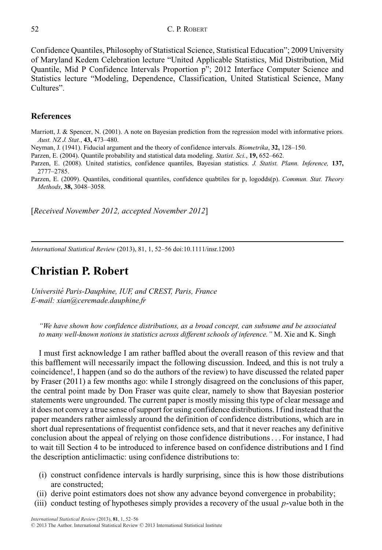Confidence Quantiles, Philosophy of Statistical Science, Statistical Education"; 2009 University of Maryland Kedem Celebration lecture "United Applicable Statistics, Mid Distribution, Mid Quantile, Mid P Confidence Intervals Proportion p"; 2012 Interface Computer Science and Statistics lecture "Modeling, Dependence, Classification, United Statistical Science, Many Cultures".

### **References**

Marriott, J. & Spencer, N. (2001). A note on Bayesian prediction from the regression model with informative priors. *Aust. NZ J. Stat.*, **43,** 473–480.

- Neyman, J. (1941). Fiducial argument and the theory of confidence intervals. *Biometrika*, **32,** 128–150.
- Parzen, E. (2004). Quantile probability and statistical data modeling. *Statist. Sci.*, **19,** 652–662.

Parzen, E. (2008). United statistics, confidence quantiles, Bayesian statistics. *J. Statist. Plann. Inference,* **137,** 2777–2785.

Parzen, E. (2009). Quantiles, conditional quantiles, confidence quabtiles for p, logodds(p). *Commun. Stat. Theory Methods*, **38,** 3048–3058.

[*Received November 2012, accepted November 2012*]

*International Statistical Review* (2013), 81, 1, 52–56 doi:10.1111/insr.12003

## **Christian P. Robert**

*Universite Paris-Dauphine, IUF, and CREST, Paris, France ´ E-mail: xian@ceremade.dauphine.fr*

*"We have shown how confidence distributions, as a broad concept, can subsume and be associated to many well-known notions in statistics across different schools of inference."* M. Xie and K. Singh

I must first acknowledge I am rather baffled about the overall reason of this review and that this bafflement will necessarily impact the following discussion. Indeed, and this is not truly a coincidence!, I happen (and so do the authors of the review) to have discussed the related paper by Fraser (2011) a few months ago: while I strongly disagreed on the conclusions of this paper, the central point made by Don Fraser was quite clear, namely to show that Bayesian posterior statements were ungrounded. The current paper is mostly missing this type of clear message and it does not convey a true sense of support for using confidence distributions. I find instead that the paper meanders rather aimlessly around the definition of confidence distributions, which are in short dual representations of frequentist confidence sets, and that it never reaches any definitive conclusion about the appeal of relying on those confidence distributions... For instance, I had to wait till Section 4 to be introduced to inference based on confidence distributions and I find the description anticlimactic: using confidence distributions to:

- (i) construct confidence intervals is hardly surprising, since this is how those distributions are constructed;
- (ii) derive point estimators does not show any advance beyond convergence in probability;
- (iii) conduct testing of hypotheses simply provides a recovery of the usual *p*-value both in the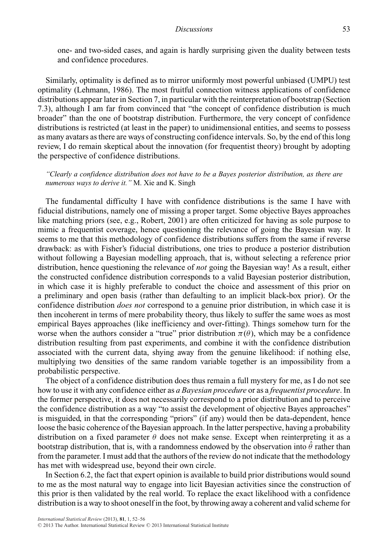one- and two-sided cases, and again is hardly surprising given the duality between tests and confidence procedures.

Similarly, optimality is defined as to mirror uniformly most powerful unbiased (UMPU) test optimality (Lehmann, 1986). The most fruitful connection witness applications of confidence distributions appear later in Section 7, in particular with the reinterpretation of bootstrap (Section 7.3), although I am far from convinced that "the concept of confidence distribution is much broader" than the one of bootstrap distribution. Furthermore, the very concept of confidence distributions is restricted (at least in the paper) to unidimensional entities, and seems to possess as many avatars as there are ways of constructing confidence intervals. So, by the end of this long review, I do remain skeptical about the innovation (for frequentist theory) brought by adopting the perspective of confidence distributions.

*"Clearly a confidence distribution does not have to be a Bayes posterior distribution, as there are numerous ways to derive it."* M. Xie and K. Singh

The fundamental difficulty I have with confidence distributions is the same I have with fiducial distributions, namely one of missing a proper target. Some objective Bayes approaches like matching priors (see, e.g., Robert, 2001) are often criticized for having as sole purpose to mimic a frequentist coverage, hence questioning the relevance of going the Bayesian way. It seems to me that this methodology of confidence distributions suffers from the same if reverse drawback: as with Fisher's fiducial distributions, one tries to produce a posterior distribution without following a Bayesian modelling approach, that is, without selecting a reference prior distribution, hence questioning the relevance of *not* going the Bayesian way! As a result, either the constructed confidence distribution corresponds to a valid Bayesian posterior distribution, in which case it is highly preferable to conduct the choice and assessment of this prior on a preliminary and open basis (rather than defaulting to an implicit black-box prior). Or the confidence distribution *does not* correspond to a genuine prior distribution, in which case it is then incoherent in terms of mere probability theory, thus likely to suffer the same woes as most empirical Bayes approaches (like inefficiency and over-fitting). Things somehow turn for the worse when the authors consider a "true" prior distribution  $\pi(\theta)$ , which may be a confidence distribution resulting from past experiments, and combine it with the confidence distribution associated with the current data, shying away from the genuine likelihood: if nothing else, multiplying two densities of the same random variable together is an impossibility from a probabilistic perspective.

The object of a confidence distribution does thus remain a full mystery for me, as I do not see how to use it with any confidence either as *a Bayesian procedure* or as a *frequentist procedure*. In the former perspective, it does not necessarily correspond to a prior distribution and to perceive the confidence distribution as a way "to assist the development of objective Bayes approaches" is misguided, in that the corresponding "priors" (if any) would then be data-dependent, hence loose the basic coherence of the Bayesian approach. In the latter perspective, having a probability distribution on a fixed parameter  $\theta$  does not make sense. Except when reinterpreting it as a bootstrap distribution, that is, with a randomness endowed by the observation into  $\theta$  rather than from the parameter. I must add that the authors of the review do not indicate that the methodology has met with widespread use, beyond their own circle.

In Section 6.2, the fact that expert opinion is available to build prior distributions would sound to me as the most natural way to engage into licit Bayesian activities since the construction of this prior is then validated by the real world. To replace the exact likelihood with a confidence distribution is a way to shoot oneself in the foot, by throwing away a coherent and valid scheme for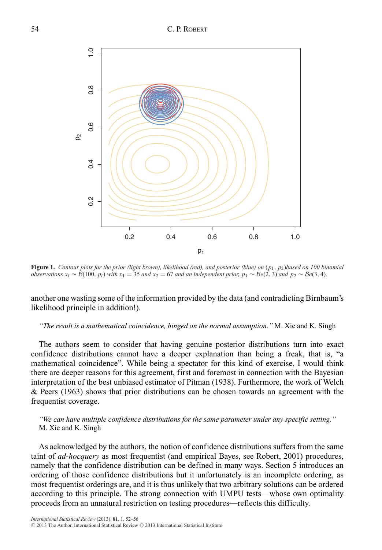

**Figure 1.** *Contour plots for the prior (light brown), likelihood (red), and posterior (blue) on* (*p*1, *p*2)*based on 100 binomial observations x<sub>i</sub>* ∼  $B(100, p_i)$  *with*  $x_1 = 35$  *and*  $x_2 = 67$  *and an independent prior,*  $p_1 \sim Be(2, 3)$  *and*  $p_2 \sim Be(3, 4)$ .

another one wasting some of the information provided by the data (and contradicting Birnbaum's likelihood principle in addition!).

### *"The result is a mathematical coincidence, hinged on the normal assumption."* M. Xie and K. Singh

The authors seem to consider that having genuine posterior distributions turn into exact confidence distributions cannot have a deeper explanation than being a freak, that is, "a mathematical coincidence". While being a spectator for this kind of exercise, I would think there are deeper reasons for this agreement, first and foremost in connection with the Bayesian interpretation of the best unbiased estimator of Pitman (1938). Furthermore, the work of Welch & Peers (1963) shows that prior distributions can be chosen towards an agreement with the frequentist coverage.

*"We can have multiple confidence distributions for the same parameter under any specific setting."* M. Xie and K. Singh

As acknowledged by the authors, the notion of confidence distributions suffers from the same taint of *ad-hocquery* as most frequentist (and empirical Bayes, see Robert, 2001) procedures, namely that the confidence distribution can be defined in many ways. Section 5 introduces an ordering of those confidence distributions but it unfortunately is an incomplete ordering, as most frequentist orderings are, and it is thus unlikely that two arbitrary solutions can be ordered according to this principle. The strong connection with UMPU tests—whose own optimality proceeds from an unnatural restriction on testing procedures—reflects this difficulty.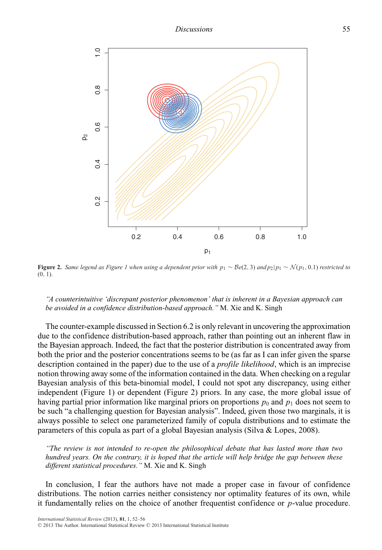

**Figure 2.** *Same legend as Figure 1 when using a dependent prior with*  $p_1 ∼ Be(2, 3)$  *and*  $p_2|p_1 ∼ N(p_1, 0.1)$  *restricted to*  $(0, 1)$ .

### *"A counterintuitive 'discrepant posterior phenomenon' that is inherent in a Bayesian approach can be avoided in a confidence distribution-based approach."* M. Xie and K. Singh

The counter-example discussed in Section 6.2 is only relevant in uncovering the approximation due to the confidence distribution-based approach, rather than pointing out an inherent flaw in the Bayesian approach. Indeed, the fact that the posterior distribution is concentrated away from both the prior and the posterior concentrations seems to be (as far as I can infer given the sparse description contained in the paper) due to the use of a *profile likelihood*, which is an imprecise notion throwing away some of the information contained in the data. When checking on a regular Bayesian analysis of this beta-binomial model, I could not spot any discrepancy, using either independent (Figure 1) or dependent (Figure 2) priors. In any case, the more global issue of having partial prior information like marginal priors on proportions  $p_0$  and  $p_1$  does not seem to be such "a challenging question for Bayesian analysis". Indeed, given those two marginals, it is always possible to select one parameterized family of copula distributions and to estimate the parameters of this copula as part of a global Bayesian analysis (Silva & Lopes, 2008).

*"The review is not intended to re-open the philosophical debate that has lasted more than two hundred years. On the contrary, it is hoped that the article will help bridge the gap between these different statistical procedures."* M. Xie and K. Singh

In conclusion, I fear the authors have not made a proper case in favour of confidence distributions. The notion carries neither consistency nor optimality features of its own, while it fundamentally relies on the choice of another frequentist confidence or *p*-value procedure.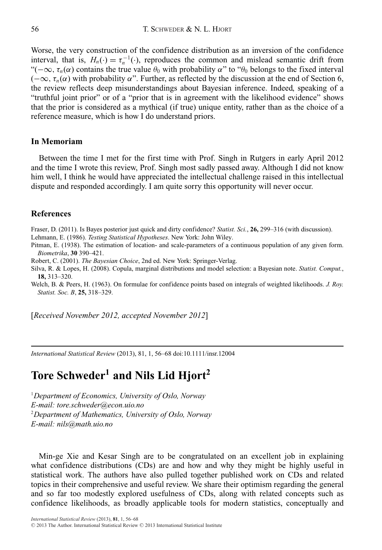Worse, the very construction of the confidence distribution as an inversion of the confidence interval, that is,  $H_n(\cdot) = \tau_n^{-1}(\cdot)$ , reproduces the common and mislead semantic drift from "( $-\infty$ ,  $\tau_n(\alpha)$  contains the true value  $\theta_0$  with probability  $\alpha$ " to " $\theta_0$  belongs to the fixed interval  $(-\infty, \tau_n(\alpha)$  with probability  $\alpha$ ". Further, as reflected by the discussion at the end of Section 6, the review reflects deep misunderstandings about Bayesian inference. Indeed, speaking of a "truthful joint prior" or of a "prior that is in agreement with the likelihood evidence" shows that the prior is considered as a mythical (if true) unique entity, rather than as the choice of a reference measure, which is how I do understand priors.

### **In Memoriam**

Between the time I met for the first time with Prof. Singh in Rutgers in early April 2012 and the time I wrote this review, Prof. Singh most sadly passed away. Although I did not know him well, I think he would have appreciated the intellectual challenge raised in this intellectual dispute and responded accordingly. I am quite sorry this opportunity will never occur.

### **References**

Fraser, D. (2011). Is Bayes posterior just quick and dirty confidence? *Statist. Sci.*, **26,** 299–316 (with discussion).

Lehmann, E. (1986). *Testing Statistical Hypotheses*. New York: John Wiley.

Pitman, E. (1938). The estimation of location- and scale-parameters of a continuous population of any given form. *Biometrika*, **30** 390–421.

Robert, C. (2001). *The Bayesian Choice*, 2nd ed. New York: Springer-Verlag.

Silva, R. & Lopes, H. (2008). Copula, marginal distributions and model selection: a Bayesian note. *Statist. Comput.*, **18,** 313–320.

Welch, B. & Peers, H. (1963). On formulae for confidence points based on integrals of weighted likelihoods. *J. Roy. Statist. Soc. B*, **25,** 318–329.

[*Received November 2012, accepted November 2012*]

*International Statistical Review* (2013), 81, 1, 56–68 doi:10.1111/insr.12004

# **Tore Schweder1 and Nils Lid Hjort<sup>2</sup>**

1 *Department of Economics, University of Oslo, Norway E-mail: tore.schweder@econ.uio.no* 2 *Department of Mathematics, University of Oslo, Norway E-mail: nils@math.uio.no*

Min-ge Xie and Kesar Singh are to be congratulated on an excellent job in explaining what confidence distributions (CDs) are and how and why they might be highly useful in statistical work. The authors have also pulled together published work on CDs and related topics in their comprehensive and useful review. We share their optimism regarding the general and so far too modestly explored usefulness of CDs, along with related concepts such as confidence likelihoods, as broadly applicable tools for modern statistics, conceptually and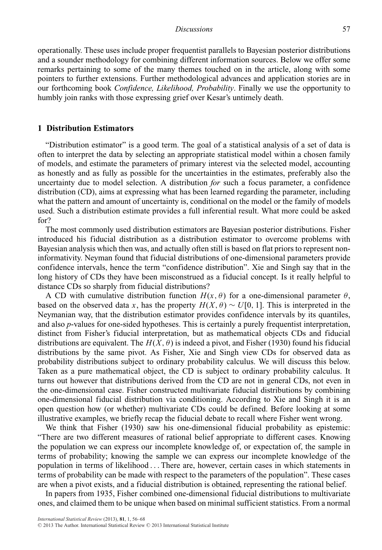operationally. These uses include proper frequentist parallels to Bayesian posterior distributions and a sounder methodology for combining different information sources. Below we offer some remarks pertaining to some of the many themes touched on in the article, along with some pointers to further extensions. Further methodological advances and application stories are in our forthcoming book *Confidence, Likelihood, Probability*. Finally we use the opportunity to humbly join ranks with those expressing grief over Kesar's untimely death.

### **1 Distribution Estimators**

"Distribution estimator" is a good term. The goal of a statistical analysis of a set of data is often to interpret the data by selecting an appropriate statistical model within a chosen family of models, and estimate the parameters of primary interest via the selected model, accounting as honestly and as fully as possible for the uncertainties in the estimates, preferably also the uncertainty due to model selection. A distribution *for* such a focus parameter, a confidence distribution (CD), aims at expressing what has been learned regarding the parameter, including what the pattern and amount of uncertainty is, conditional on the model or the family of models used. Such a distribution estimate provides a full inferential result. What more could be asked for?

The most commonly used distribution estimators are Bayesian posterior distributions. Fisher introduced his fiducial distribution as a distribution estimator to overcome problems with Bayesian analysis which then was, and actually often still is based on flat priors to represent noninformativity. Neyman found that fiducial distributions of one-dimensional parameters provide confidence intervals, hence the term "confidence distribution". Xie and Singh say that in the long history of CDs they have been misconstrued as a fiducial concept. Is it really helpful to distance CDs so sharply from fiducial distributions?

A CD with cumulative distribution function  $H(x, \theta)$  for a one-dimensional parameter  $\theta$ , based on the observed data *x*, has the property  $H(X, \theta) \sim U[0, 1]$ . This is interpreted in the Neymanian way, that the distribution estimator provides confidence intervals by its quantiles, and also *p*-values for one-sided hypotheses. This is certainly a purely frequentist interpretation, distinct from Fisher's fiducial interpretation, but as mathematical objects CDs and fiducial distributions are equivalent. The  $H(X, \theta)$  is indeed a pivot, and Fisher (1930) found his fiducial distributions by the same pivot. As Fisher, Xie and Singh view CDs for observed data as probability distributions subject to ordinary probability calculus. We will discuss this below. Taken as a pure mathematical object, the CD is subject to ordinary probability calculus. It turns out however that distributions derived from the CD are not in general CDs, not even in the one-dimensional case. Fisher constructed multivariate fiducial distributions by combining one-dimensional fiducial distribution via conditioning. According to Xie and Singh it is an open question how (or whether) multivariate CDs could be defined. Before looking at some illustrative examples, we briefly recap the fiducial debate to recall where Fisher went wrong.

We think that Fisher (1930) saw his one-dimensional fiducial probability as epistemic: "There are two different measures of rational belief appropriate to different cases. Knowing the population we can express our incomplete knowledge of, or expectation of, the sample in terms of probability; knowing the sample we can express our incomplete knowledge of the population in terms of likelihood ... There are, however, certain cases in which statements in terms of probability can be made with respect to the parameters of the population". These cases are when a pivot exists, and a fiducial distribution is obtained, representing the rational belief.

In papers from 1935, Fisher combined one-dimensional fiducial distributions to multivariate ones, and claimed them to be unique when based on minimal sufficient statistics. From a normal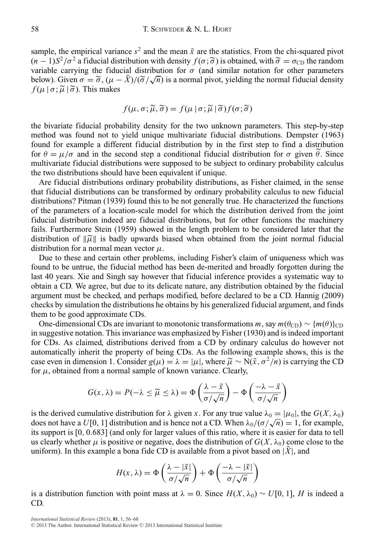sample, the empirical variance  $s^2$  and the mean  $\bar{x}$  are the statistics. From the chi-squared pivot  $(n-1)S^2/\sigma^2$  a fiducial distribution with density  $f(\sigma; \tilde{\sigma})$  is obtained, with  $\tilde{\sigma} = \sigma_{CD}$  the random variable carrying the fiducial distribution for  $\sigma$  (and similar notation for other parameters below). Given  $\sigma = \tilde{\sigma}$ ,  $(\mu - \bar{X})/(\tilde{\sigma}/\sqrt{n})$  is a normal pivot, yielding the normal fiducial density  $f(\mu \mid \sigma; \tilde{\mu} \mid \tilde{\sigma})$ . This makes

$$
f(\mu, \sigma; \widetilde{\mu}, \widetilde{\sigma}) = f(\mu \mid \sigma; \widetilde{\mu} \mid \widetilde{\sigma}) f(\sigma; \widetilde{\sigma})
$$

the bivariate fiducial probability density for the two unknown parameters. This step-by-step method was found not to yield unique multivariate fiducial distributions. Dempster (1963) found for example a different fiducial distribution by in the first step to find a distribution for  $\theta = \mu/\sigma$  and in the second step a conditional fiducial distribution for  $\sigma$  given  $\theta$ . Since multivariate fiducial distributions were supposed to be subject to ordinary probability calculus the two distributions should have been equivalent if unique.

Are fiducial distributions ordinary probability distributions, as Fisher claimed, in the sense that fiducial distributions can be transformed by ordinary probability calculus to new fiducial distributions? Pitman (1939) found this to be not generally true. He characterized the functions of the parameters of a location-scale model for which the distribution derived from the joint fiducial distribution indeed are fiducial distributions, but for other functions the machinery fails. Furthermore Stein (1959) showed in the length problem to be considered later that the distribution of  $\|\tilde{\mu}\|$  is badly upwards biased when obtained from the joint normal fiducial distribution for a normal mean vector  $\mu$ .

Due to these and certain other problems, including Fisher's claim of uniqueness which was found to be untrue, the fiducial method has been de-merited and broadly forgotten during the last 40 years. Xie and Singh say however that fiducial inference provides a systematic way to obtain a CD. We agree, but due to its delicate nature, any distribution obtained by the fiducial argument must be checked, and perhaps modified, before declared to be a CD. Hannig (2009) checks by simulation the distributions he obtains by his generalized fiducial argument, and finds them to be good approximate CDs.

One-dimensional CDs are invariant to monotonic transformations *m*, say  $m(\theta_{CD}) \sim \{m(\theta)\}_{CD}$ in suggestive notation. This invariance was emphasized by Fisher (1930) and is indeed important for CDs. As claimed, distributions derived from a CD by ordinary calculus do however not automatically inherit the property of being CDs. As the following example shows, this is the case even in dimension 1. Consider  $g(\mu) = \lambda = |\mu|$ , where  $\tilde{\mu} \sim N(\bar{x}, \sigma^2/n)$  is carrying the CD for  $\mu$ , obtained from a normal sample of known variance. Clearly,

$$
G(x, \lambda) = P(-\lambda \le \widetilde{\mu} \le \lambda) = \Phi\left(\frac{\lambda - \bar{x}}{\sigma/\sqrt{n}}\right) - \Phi\left(\frac{-\lambda - \bar{x}}{\sigma/\sqrt{n}}\right)
$$

is the derived cumulative distribution for  $\lambda$  given *x*. For any true value  $\lambda_0 = |\mu_0|$ , the  $G(X, \lambda_0)$ does not have a  $U[0, 1]$  distribution and is hence not a CD. When  $\lambda_0/(\sigma/\sqrt{n}) = 1$ , for example, its support is [0, 0.683] (and only for larger values of this ratio, where it is easier for data to tell us clearly whether  $\mu$  is positive or negative, does the distribution of  $G(X, \lambda_0)$  come close to the uniform). In this example a bona fide CD is available from a pivot based on  $|\bar{X}|$ , and

$$
H(x,\lambda) = \Phi\left(\frac{\lambda - |\bar{x}|}{\sigma/\sqrt{n}}\right) + \Phi\left(\frac{-\lambda - |\bar{x}|}{\sigma/\sqrt{n}}\right)
$$

is a distribution function with point mass at  $\lambda = 0$ . Since  $H(X, \lambda_0) \sim U[0, 1]$ , *H* is indeed a CD.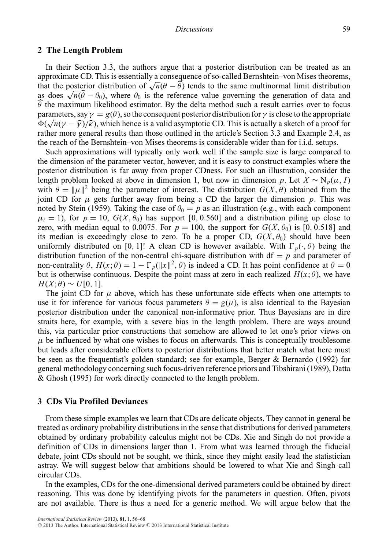### **2 The Length Problem**

In their Section 3.3, the authors argue that a posterior distribution can be treated as an approximate CD. This is essentially a consequence of so-called Bernshtein–von Mises theorems, that the posterior distribution of  $\sqrt{n}(\theta - \hat{\theta})$  tends to the same multinormal limit distribution as does  $\sqrt{n}(\hat{\theta} - \theta_0)$ , where  $\theta_0$  is the reference value governing the generation of data and  $\theta$  the maximum likelihood estimator. By the delta method such a result carries over to focus parameters, say  $\gamma = g(\theta)$ , so the consequent posterior distribution for  $\gamma$  is close to the appropriate  $\Phi(\sqrt{n}(\gamma - \hat{\gamma})/\hat{\kappa})$ , which hence is a valid asymptotic CD. This is actually a sketch of a proof for rether more concrete results than those outlined in the orticle's Section 3.3 and Example 2.4 as rather more general results than those outlined in the article's Section 3.3 and Example 2.4, as the reach of the Bernshtein–von Mises theorems is considerable wider than for i.i.d. setups.

Such approximations will typically only work well if the sample size is large compared to the dimension of the parameter vector, however, and it is easy to construct examples where the posterior distribution is far away from proper CDness. For such an illustration, consider the length problem looked at above in dimension 1, but now in dimension *p*. Let  $X \sim N_p(\mu, I)$ with  $\theta = ||\mu||^2$  being the parameter of interest. The distribution  $G(X, \theta)$  obtained from the joint CD for  $\mu$  gets further away from being a CD the larger the dimension  $p$ . This was noted by Stein (1959). Taking the case of  $\theta_0 = p$  as an illustration (e.g., with each component  $\mu_i = 1$ ), for  $p = 10$ ,  $G(X, \theta_0)$  has support [0, 0.560] and a distribution piling up close to zero, with median equal to 0.0075. For  $p = 100$ , the support for  $G(X, \theta_0)$  is [0, 0.518] and its median is exceedingly close to zero. To be a proper CD,  $G(X, \theta_0)$  should have been uniformly distributed on [0, 1]! A clean CD is however available. With  $\Gamma_p(\cdot,\theta)$  being the distribution function of the non-central chi-square distribution with  $df = p$  and parameter of non-centrality  $\theta$ ,  $H(x; \theta) = 1 - \Gamma_p(\|x\|^2, \theta)$  is indeed a CD. It has point confidence at  $\theta = 0$ but is otherwise continuous. Despite the point mass at zero in each realized  $H(x;\theta)$ , we have  $H(X; \theta) \sim U[0, 1].$ 

The joint CD for  $\mu$  above, which has these unfortunate side effects when one attempts to use it for inference for various focus parameters  $\theta = g(\mu)$ , is also identical to the Bayesian posterior distribution under the canonical non-informative prior. Thus Bayesians are in dire straits here, for example, with a severe bias in the length problem. There are ways around this, via particular prior constructions that somehow are allowed to let one's prior views on  $\mu$  be influenced by what one wishes to focus on afterwards. This is conceptually troublesome but leads after considerable efforts to posterior distributions that better match what here must be seen as the frequentist's golden standard; see for example, Berger & Bernardo (1992) for general methodology concerning such focus-driven reference priors and Tibshirani (1989), Datta & Ghosh (1995) for work directly connected to the length problem.

### **3 CDs Via Profiled Deviances**

From these simple examples we learn that CDs are delicate objects. They cannot in general be treated as ordinary probability distributions in the sense that distributions for derived parameters obtained by ordinary probability calculus might not be CDs. Xie and Singh do not provide a definition of CDs in dimensions larger than 1. From what was learned through the fiducial debate, joint CDs should not be sought, we think, since they might easily lead the statistician astray. We will suggest below that ambitions should be lowered to what Xie and Singh call circular CDs.

In the examples, CDs for the one-dimensional derived parameters could be obtained by direct reasoning. This was done by identifying pivots for the parameters in question. Often, pivots are not available. There is thus a need for a generic method. We will argue below that the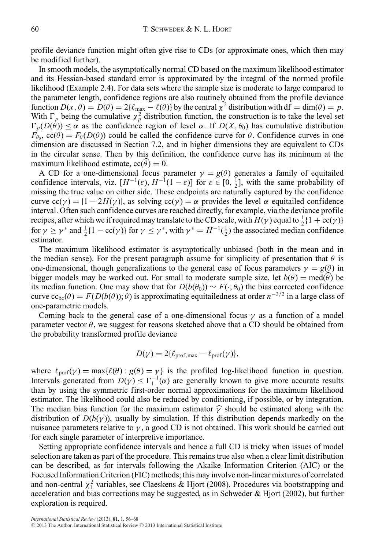profile deviance function might often give rise to CDs (or approximate ones, which then may be modified further).

In smooth models, the asymptotically normal CD based on the maximum likelihood estimator and its Hessian-based standard error is approximated by the integral of the normed profile likelihood (Example 2.4). For data sets where the sample size is moderate to large compared to the parameter length, confidence regions are also routinely obtained from the profile deviance function  $D(x, \theta) = D(\theta) = 2\{\ell_{\text{max}} - \ell(\theta)\}\$  by the central  $\chi^2$  distribution with df = dim( $\theta$ ) = *p*. With  $\Gamma_p$  being the cumulative  $\chi_p^2$  distribution function, the construction is to take the level set  $\Gamma_p(D(\theta)) \leq \alpha$  as the confidence region of level  $\alpha$ . If  $D(X, \theta_0)$  has cumulative distribution  $F_{\theta_0}$ ,  $cc(\theta) = F_{\theta}(D(\theta))$  could be called the confidence curve for  $\theta$ . Confidence curves in one dimension are discussed in Section 7.2, and in higher dimensions they are equivalent to CDs in the circular sense. Then by this definition, the confidence curve has its minimum at the maximum likelihood estimate,  $cc(\theta) = 0$ .

A CD for a one-dimensional focus parameter  $\gamma = g(\theta)$  generates a family of equitailed confidence intervals, viz.  $[H^{-1}(\varepsilon), H^{-1}(1-\varepsilon)]$  for  $\varepsilon \in [0, \frac{1}{2}]$ , with the same probability of missing the true value on either side. These endpoints are naturally captured by the confidence curve  $cc(\gamma) = |1 - 2H(\gamma)|$ , as solving  $cc(\gamma) = \alpha$  provides the level  $\alpha$  equitailed confidence interval. Often such confidence curves are reached directly, for example, via the deviance profile recipes, after which we if required may translate to the CD scale, with  $H(\gamma)$  equal to  $\frac{1}{2}$ {1 + cc( $\gamma$ )} for  $\gamma \ge \gamma^*$  and  $\frac{1}{2}$ {1 – cc( $\gamma$ )} for  $\gamma \le \gamma^*$ , with  $\gamma^* = H^{-1}(\frac{1}{2})$  the associated median confidence estimator.

The maximum likelihood estimator is asymptotically unbiased (both in the mean and in the median sense). For the present paragraph assume for simplicity of presentation that  $\theta$  is one-dimensional, though generalizations to the general case of focus parameters  $\gamma = g(\theta)$  in bigger models may be worked out. For small to moderate sample size, let  $b(\theta) = \text{med}(\theta)$  be its median function. One may show that for  $D(b(\theta_0)) \sim F(\cdot; \theta_0)$  the bias corrected confidence curve  $cc_{bc}(\theta) = F(D(b(\theta)); \theta)$  is approximating equitailedness at order  $n^{-3/2}$  in a large class of one-parametric models.

Coming back to the general case of a one-dimensional focus  $\gamma$  as a function of a model parameter vector  $\theta$ , we suggest for reasons sketched above that a CD should be obtained from the probability transformed profile deviance

$$
D(\gamma) = 2\{\ell_{\text{prof,max}} - \ell_{\text{prof}}(\gamma)\},\
$$

where  $\ell_{\text{prof}}(\gamma) = \max{\{\ell(\theta) : g(\theta) = \gamma\}}$  is the profiled log-likelihood function in question. Intervals generated from  $D(\gamma) \le \Gamma_1^{-1}(\alpha)$  are generally known to give more accurate results than by using the symmetric first-order normal approximations for the maximum likelihood estimator. The likelihood could also be reduced by conditioning, if possible, or by integration. The median bias function for the maximum estimator  $\hat{\gamma}$  should be estimated along with the distribution of  $D(b(\gamma))$ , usually by simulation. If this distribution depends markedly on the nuisance parameters relative to  $\gamma$ , a good CD is not obtained. This work should be carried out for each single parameter of interpretive importance.

Setting appropriate confidence intervals and hence a full CD is tricky when issues of model selection are taken as part of the procedure. This remains true also when a clear limit distribution can be described, as for intervals following the Akaike Information Criterion (AIC) or the Focused Information Criterion (FIC) methods; this may involve non-linear mixtures of correlated and non-central  $\chi_1^2$  variables, see Claeskens & Hjort (2008). Procedures via bootstrapping and acceleration and bias corrections may be suggested, as in Schweder & Hjort (2002), but further exploration is required.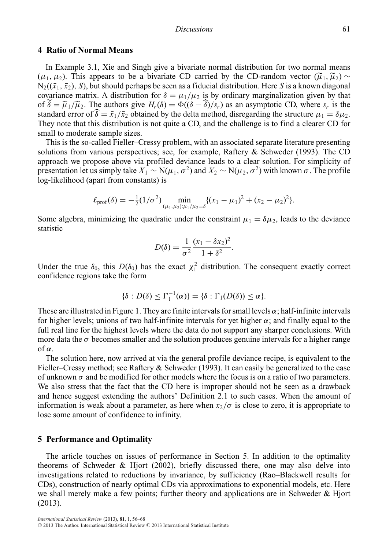### **4 Ratio of Normal Means**

In Example 3.1, Xie and Singh give a bivariate normal distribution for two normal means  $(\mu_1, \mu_2)$ . This appears to be a bivariate CD carried by the CD-random vector  $(\tilde{\mu}_1, \tilde{\mu}_2)$  ∼  $N_2((\bar{x}_1, \bar{x}_2), S)$ , but should perhaps be seen as a fiducial distribution. Here *S* is a known diagonal covariance matrix. A distribution for  $\delta = \mu_1/\mu_2$  is by ordinary marginalization given by that of  $\delta = \tilde{\mu}_1/\tilde{\mu}_2$ . The authors give  $H_r(\delta) = \Phi((\delta - \hat{\delta})/s_r)$  as an asymptotic CD, where  $s_r$  is the standard error of  $\hat{\delta} = \bar{x}_1/\bar{x}_2$  obtained by the delta method, disregarding the structure  $\mu_1 = \delta \mu_2$ . They note that this distribution is not quite a CD, and the challenge is to find a clearer CD for small to moderate sample sizes.

This is the so-called Fieller–Cressy problem, with an associated separate literature presenting solutions from various perspectives; see, for example, Raftery & Schweder (1993). The CD approach we propose above via profiled deviance leads to a clear solution. For simplicity of presentation let us simply take  $X_1 \sim N(\mu_1, \sigma^2)$  and  $X_2 \sim N(\mu_2, \sigma^2)$  with known  $\sigma$ . The profile log-likelihood (apart from constants) is

$$
\ell_{\text{prof}}(\delta) = -\frac{1}{2}(1/\sigma^2) \min_{(\mu_1,\mu_2):\mu_1/\mu_2=\delta} \{(x_1-\mu_1)^2 + (x_2-\mu_2)^2\}.
$$

Some algebra, minimizing the quadratic under the constraint  $\mu_1 = \delta \mu_2$ , leads to the deviance statistic

$$
D(\delta) = \frac{1}{\sigma^2} \frac{(x_1 - \delta x_2)^2}{1 + \delta^2}.
$$

Under the true  $\delta_0$ , this  $D(\delta_0)$  has the exact  $\chi_1^2$  distribution. The consequent exactly correct confidence regions take the form

$$
\{\delta: D(\delta) \leq \Gamma_1^{-1}(\alpha)\} = \{\delta: \Gamma_1(D(\delta)) \leq \alpha\}.
$$

These are illustrated in Figure 1. They are finite intervals for small levels  $\alpha$ ; half-infinite intervals for higher levels; unions of two half-infinite intervals for yet higher  $\alpha$ ; and finally equal to the full real line for the highest levels where the data do not support any sharper conclusions. With more data the  $\sigma$  becomes smaller and the solution produces genuine intervals for a higher range of α.

The solution here, now arrived at via the general profile deviance recipe, is equivalent to the Fieller–Cressy method; see Raftery & Schweder (1993). It can easily be generalized to the case of unknown  $\sigma$  and be modified for other models where the focus is on a ratio of two parameters. We also stress that the fact that the CD here is improper should not be seen as a drawback and hence suggest extending the authors' Definition 2.1 to such cases. When the amount of information is weak about a parameter, as here when  $x_2/\sigma$  is close to zero, it is appropriate to lose some amount of confidence to infinity.

### **5 Performance and Optimality**

The article touches on issues of performance in Section 5. In addition to the optimality theorems of Schweder & Hjort (2002), briefly discussed there, one may also delve into investigations related to reductions by invariance, by sufficiency (Rao–Blackwell results for CDs), construction of nearly optimal CDs via approximations to exponential models, etc. Here we shall merely make a few points; further theory and applications are in Schweder & Hjort (2013).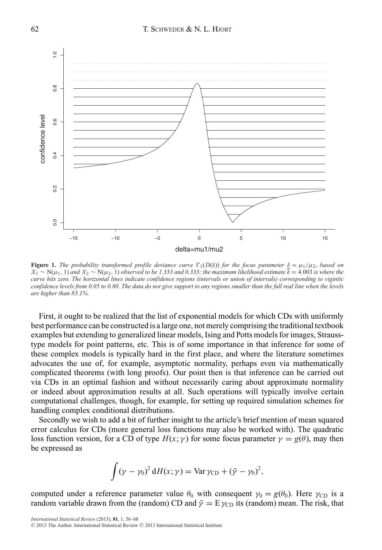

**Figure 1.** *The probability transformed profile deviance curve*  $\Gamma_1(D(\delta))$  *for the focus parameter*  $\delta = \mu_1/\mu_2$ *, based on*  $X_1 \sim N(\mu_1, 1)$  *and*  $X_2 \sim N(\mu_2, 1)$  *observed to be 1.333 and 0.333; the maximum likelihood estimate*  $\delta = 4.003$  *is where the curve hits zero. The horizontal lines indicate confidence regions (intervals or union of intervals) corresponding to vigintic confidence levels from 0.05 to 0.80. The data do not give support to any regions smaller than the full real line when the levels are higher than 83.1%.*

First, it ought to be realized that the list of exponential models for which CDs with uniformly best performance can be constructed is a large one, not merely comprising the traditional textbook examples but extending to generalized linear models, Ising and Potts models for images, Strausstype models for point patterns, etc. This is of some importance in that inference for some of these complex models is typically hard in the first place, and where the literature sometimes advocates the use of, for example, asymptotic normality, perhaps even via mathematically complicated theorems (with long proofs). Our point then is that inference can be carried out via CDs in an optimal fashion and without necessarily caring about approximate normality or indeed about approximation results at all. Such operations will typically involve certain computational challenges, though, for example, for setting up required simulation schemes for handling complex conditional distributions.

Secondly we wish to add a bit of further insight to the article's brief mention of mean squared error calculus for CDs (more general loss functions may also be worked with). The quadratic loss function version, for a CD of type  $H(x; y)$  for some focus parameter  $y = g(\theta)$ , may then be expressed as

$$
\int (\gamma - \gamma_0)^2 dH(x; \gamma) = \text{Var}\,\gamma_{\text{CD}} + (\bar{\gamma} - \gamma_0)^2,
$$

computed under a reference parameter value  $\theta_0$  with consequent  $\gamma_0 = g(\theta_0)$ . Here  $\gamma_{CD}$  is a random variable drawn from the (random) CD and  $\bar{y} = E \gamma_{CD}$  its (random) mean. The risk, that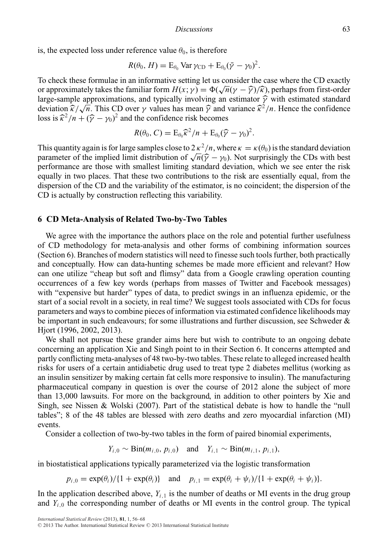is, the expected loss under reference value  $\theta_0$ , is therefore

$$
R(\theta_0, H) = \mathcal{E}_{\theta_0} \text{Var } \gamma_{\text{CD}} + \mathcal{E}_{\theta_0} (\bar{\gamma} - \gamma_0)^2.
$$

To check these formulae in an informative setting let us consider the case where the CD exactly or approximately takes the familiar form  $H(x; y) = \Phi(\sqrt{n}(y - \hat{y})/\hat{k})$ , perhaps from first-order<br>large sample approximations, and typically involving an estimator  $\hat{x}$  with estimated standard large-sample approximations, and typically involving an estimator  $\hat{\gamma}$  with estimated standard deviation  $\widehat{k}/\sqrt{n}$ . This CD over  $\gamma$  values has mean  $\widehat{\gamma}$  and variance  $\widehat{\kappa}^2/n$ . Hence the confidence loss is  $\hat{\kappa}^2/n + (\hat{\gamma} - \gamma_0)^2$  and the confidence risk becomes

$$
R(\theta_0, C) = \mathcal{E}_{\theta_0} \widehat{\kappa}^2 / n + \mathcal{E}_{\theta_0} (\widehat{\gamma} - \gamma_0)^2.
$$

This quantity again is for large samples close to  $2 \kappa^2/n$ , where  $\kappa = \kappa(\theta_0)$  is the standard deviation parameter of the implied limit distribution of  $\sqrt{n}(\hat{\gamma} - \gamma_0)$ . Not surprisingly the CDs with best performance are those with smallest limiting standard deviation, which we see enter the risk equally in two places. That these two contributions to the risk are essentially equal, from the dispersion of the CD and the variability of the estimator, is no coincident; the dispersion of the CD is actually by construction reflecting this variability.

### **6 CD Meta-Analysis of Related Two-by-Two Tables**

We agree with the importance the authors place on the role and potential further usefulness of CD methodology for meta-analysis and other forms of combining information sources (Section 6). Branches of modern statistics will need to finesse such tools further, both practically and conceptually. How can data-hunting schemes be made more efficient and relevant? How can one utilize "cheap but soft and flimsy" data from a Google crawling operation counting occurrences of a few key words (perhaps from masses of Twitter and Facebook messages) with "expensive but harder" types of data, to predict swings in an influenza epidemic, or the start of a social revolt in a society, in real time? We suggest tools associated with CDs for focus parameters and ways to combine pieces of information via estimated confidence likelihoods may be important in such endeavours; for some illustrations and further discussion, see Schweder & Hjort (1996, 2002, 2013).

We shall not pursue these grander aims here but wish to contribute to an ongoing debate concerning an application Xie and Singh point to in their Section 6. It concerns attempted and partly conflicting meta-analyses of 48 two-by-two tables. These relate to alleged increased health risks for users of a certain antidiabetic drug used to treat type 2 diabetes mellitus (working as an insulin sensitizer by making certain fat cells more responsive to insulin). The manufacturing pharmaceutical company in question is over the course of 2012 alone the subject of more than 13,000 lawsuits. For more on the background, in addition to other pointers by Xie and Singh, see Nissen & Wolski (2007). Part of the statistical debate is how to handle the "null tables"; 8 of the 48 tables are blessed with zero deaths and zero myocardial infarction (MI) events.

Consider a collection of two-by-two tables in the form of paired binomial experiments,

$$
Y_{i,0} \sim \text{Bin}(m_{i,0}, p_{i,0})
$$
 and  $Y_{i,1} \sim \text{Bin}(m_{i,1}, p_{i,1}),$ 

in biostatistical applications typically parameterized via the logistic transformation

 $p_{i,0} = \exp(\theta_i)/\{1 + \exp(\theta_i)\}\$ and  $p_{i,1} = \exp(\theta_i + \psi_i)/\{1 + \exp(\theta_i + \psi_i)\}.$ 

In the application described above,  $Y_{i-1}$  is the number of deaths or MI events in the drug group and  $Y_{i,0}$  the corresponding number of deaths or MI events in the control group. The typical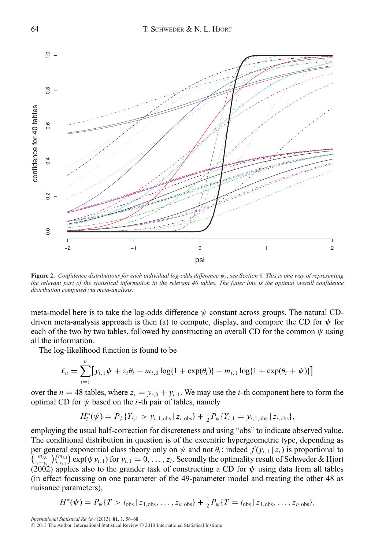

**Figure 2.** *Confidence distributions for each individual log-odds difference* ψ*<sup>i</sup>* , *see Section 6. This is one way of representing the relevant part of the statistical information in the relevant 40 tables. The fatter line is the optimal overall confidence distribution computed via meta-analysis.*

meta-model here is to take the log-odds difference  $\psi$  constant across groups. The natural CDdriven meta-analysis approach is then (a) to compute, display, and compare the CD for  $\psi$  for each of the two by two tables, followed by constructing an overall CD for the common  $\psi$  using all the information.

The log-likelihood function is found to be

$$
\ell_n = \sum_{i=1}^n [y_{i,1}\psi + z_i\theta_i - m_{i,0}\log\{1 + \exp(\theta_i)\} - m_{i,1}\log\{1 + \exp(\theta_i + \psi)\}]
$$

over the  $n = 48$  tables, where  $z_i = y_{i,0} + y_{i,1}$ . We may use the *i*-th component here to form the optimal CD for  $\psi$  based on the *i*-th pair of tables, namely

$$
H_i^*(\psi) = P_{\psi}\{Y_{i,1} > y_{i,1,\text{obs}} \mid z_{i,\text{obs}}\} + \frac{1}{2}P_{\psi}\{Y_{i,1} = y_{i,1,\text{obs}} \mid z_{i,\text{obs}}\},
$$

employing the usual half-correction for discreteness and using "obs" to indicate observed value. The conditional distribution in question is of the excentric hypergeometric type, depending as per general exponential class theory only on  $\psi$  and not  $\theta_i$ ; indeed  $f(y_{i,1} | z_i)$  is proportional to  $\int_{(z_i-y_{i,1})}^{m_{i,0}} \int_{y_{i,1}}^{m_{i,1}} \exp(\psi y_{i,1})$  for  $y_{i,1} = 0, \ldots, z_i$ . Secondly the optimality result of Schweder & Hjort  $(2002)$  applies also to the grander task of constructing a CD for  $\psi$  using data from all tables (in effect focussing on one parameter of the 49-parameter model and treating the other 48 as nuisance parameters),

$$
H^*(\psi) = P_{\psi} \{ T > t_{\text{obs}} \mid z_{1,\text{obs}}, \ldots, z_{n,\text{obs}} \} + \frac{1}{2} P_{\psi} \{ T = t_{\text{obs}} \mid z_{1,\text{obs}}, \ldots, z_{n,\text{obs}} \},
$$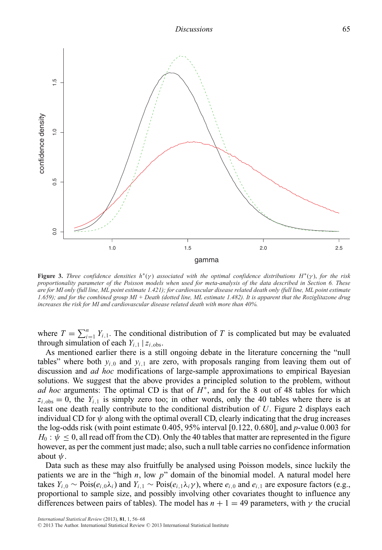

**Figure 3.** *Three confidence densities*  $h^*(\gamma)$  *associated with the optimal confidence distributions*  $H^*(\gamma)$ *, for the risk proportionality parameter of the Poisson models when used for meta-analysis of the data described in Section 6. These are for MI only (full line, ML point estimate 1.421); for cardiovascular disease related death only (full line, ML point estimate 1.659); and for the combined group MI + Death (dotted line, ML estimate 1.482). It is apparent that the Roziglitazone drug increases the risk for MI and cardiovascular disease related death with more than 40%.*

where  $T = \sum_{i=1}^{n} Y_{i,1}$ . The conditional distribution of *T* is complicated but may be evaluated through simulation of each  $Y_{i,1}$  |  $Z_{i,obs}$ .

As mentioned earlier there is a still ongoing debate in the literature concerning the "null tables" where both  $y_{i,0}$  and  $y_{i,1}$  are zero, with proposals ranging from leaving them out of discussion and *ad hoc* modifications of large-sample approximations to empirical Bayesian solutions. We suggest that the above provides a principled solution to the problem, without *ad hoc* arguments: The optimal CD is that of  $H^*$ , and for the 8 out of 48 tables for which  $z_{i,obs} = 0$ , the  $Y_{i,1}$  is simply zero too; in other words, only the 40 tables where there is at least one death really contribute to the conditional distribution of *U*. Figure 2 displays each individual CD for  $\psi$  along with the optimal overall CD, clearly indicating that the drug increases the log-odds risk (with point estimate 0.405, 95% interval [0.122, 0.680], and *p*-value 0.003 for  $H_0: \psi \leq 0$ , all read off from the CD). Only the 40 tables that matter are represented in the figure however, as per the comment just made; also, such a null table carries no confidence information about  $\psi$ .

Data such as these may also fruitfully be analysed using Poisson models, since luckily the patients we are in the "high *n*, low *p*" domain of the binomial model. A natural model here takes  $Y_{i,0} \sim \text{Pois}(e_{i,0}\lambda_i)$  and  $Y_{i,1} \sim \text{Pois}(e_{i,1}\lambda_i\gamma)$ , where  $e_{i,0}$  and  $e_{i,1}$  are exposure factors (e.g., proportional to sample size, and possibly involving other covariates thought to influence any differences between pairs of tables). The model has  $n + 1 = 49$  parameters, with  $\gamma$  the crucial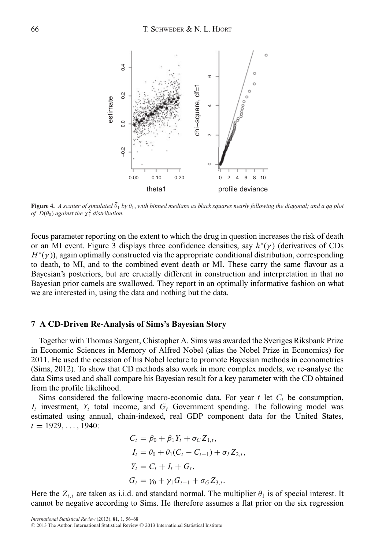

**Figure 4.** *A scatter of simulated*  $\widehat{\theta}_1$  *by*  $\theta_1$ *, with binned medians as black squares nearly following the diagonal; and a qq plot of*  $D(\theta_0)$  *against the*  $\chi_1^2$  *distribution.* 

focus parameter reporting on the extent to which the drug in question increases the risk of death or an MI event. Figure 3 displays three confidence densities, say  $h^*(\gamma)$  (derivatives of CDs  $H^*(y)$ , again optimally constructed via the appropriate conditional distribution, corresponding to death, to MI, and to the combined event death or MI. These carry the same flavour as a Bayesian's posteriors, but are crucially different in construction and interpretation in that no Bayesian prior camels are swallowed. They report in an optimally informative fashion on what we are interested in, using the data and nothing but the data.

### **7 A CD-Driven Re-Analysis of Sims's Bayesian Story**

Together with Thomas Sargent, Chistopher A. Sims was awarded the Sveriges Riksbank Prize in Economic Sciences in Memory of Alfred Nobel (alias the Nobel Prize in Economics) for 2011. He used the occasion of his Nobel lecture to promote Bayesian methods in econometrics (Sims, 2012). To show that CD methods also work in more complex models, we re-analyse the data Sims used and shall compare his Bayesian result for a key parameter with the CD obtained from the profile likelihood.

Sims considered the following macro-economic data. For year  $t$  let  $C<sub>t</sub>$  be consumption,  $I_t$  investment,  $Y_t$  total income, and  $G_t$  Government spending. The following model was estimated using annual, chain-indexed, real GDP component data for the United States,  $t = 1929, \ldots, 1940$ :

$$
C_{t} = \beta_{0} + \beta_{1}Y_{t} + \sigma_{C}Z_{1,t},
$$
  
\n
$$
I_{t} = \theta_{0} + \theta_{1}(C_{t} - C_{t-1}) + \sigma_{I}Z_{2,t},
$$
  
\n
$$
Y_{t} = C_{t} + I_{t} + G_{t},
$$
  
\n
$$
G_{t} = \gamma_{0} + \gamma_{1}G_{t-1} + \sigma_{G}Z_{3,t}.
$$

Here the  $Z_{i,t}$  are taken as i.i.d. and standard normal. The multiplier  $\theta_1$  is of special interest. It cannot be negative according to Sims. He therefore assumes a flat prior on the six regression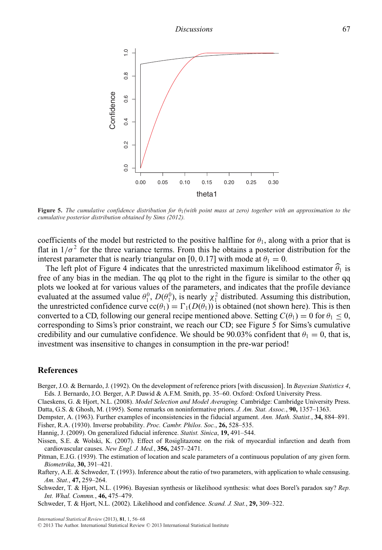

**Figure 5.** *The cumulative confidence distribution for*  $θ₁(with point mass at zero) together with an approximation to the$ *cumulative posterior distribution obtained by Sims (2012).*

coefficients of the model but restricted to the positive halfline for  $\theta_1$ , along with a prior that is flat in  $1/\sigma^2$  for the three variance terms. From this he obtains a posterior distribution for the interest parameter that is nearly triangular on [0, 0.17] with mode at  $\theta_1 = 0$ .

The left plot of Figure 4 indicates that the unrestricted maximum likelihood estimator  $\widehat{\theta}_1$  is free of any bias in the median. The qq plot to the right in the figure is similar to the other qq plots we looked at for various values of the parameters, and indicates that the profile deviance evaluated at the assumed value  $\theta_1^0$ ,  $D(\theta_1^0)$ , is nearly  $\chi_1^2$  distributed. Assuming this distribution, the unrestricted confidence curve  $cc(\theta_1) = \Gamma_1(D(\theta_1))$  is obtained (not shown here). This is then converted to a CD, following our general recipe mentioned above. Setting  $C(\theta_1) = 0$  for  $\theta_1 \le 0$ , corresponding to Sims's prior constraint, we reach our CD; see Figure 5 for Sims's cumulative credibility and our cumulative confidence. We should be 90.03% confident that  $\theta_1 = 0$ , that is, investment was insensitive to changes in consumption in the pre-war period!

### **References**

- Berger, J.O. & Bernardo, J. (1992). On the development of reference priors [with discussion]. In *Bayesian Statistics 4*, Eds. J. Bernardo, J.O. Berger, A.P. Dawid & A.F.M. Smith, pp. 35–60. Oxford: Oxford University Press.
- Claeskens, G. & Hjort, N.L. (2008). *Model Selection and Model Averaging.* Cambridge: Cambridge University Press.

Datta, G.S. & Ghosh, M. (1995). Some remarks on noninformative priors. *J. Am. Stat. Assoc.*, **90,** 1357–1363.

Dempster, A. (1963). Further examples of inconsistencies in the fiducial argument. *Ann. Math. Statist.*, **34,** 884–891.

Fisher, R.A. (1930). Inverse probability. *Proc. Cambr. Philos. Soc.*, **26,** 528–535.

Hannig, J. (2009). On generalized fiducial inference. *Statist. Sinica*, **19,** 491–544.

Nissen, S.E. & Wolski, K. (2007). Effect of Rosiglitazone on the risk of myocardial infarction and death from cardiovascular causes. *New Engl. J. Med.*, **356,** 2457–2471.

Pitman, E.J.G. (1939). The estimation of location and scale parameters of a continuous population of any given form. *Biometrika*, **30,** 391–421.

Raftery, A.E. & Schweder, T. (1993). Inference about the ratio of two parameters, with application to whale censusing. *Am. Stat.*, **47,** 259–264.

Schweder, T. & Hjort, N.L. (1996). Bayesian synthesis or likelihood synthesis: what does Borel's paradox say? *Rep. Int. Whal. Commn.*, **46,** 475–479.

Schweder, T. & Hjort, N.L. (2002). Likelihood and confidence. *Scand. J. Stat.*, **29,** 309–322.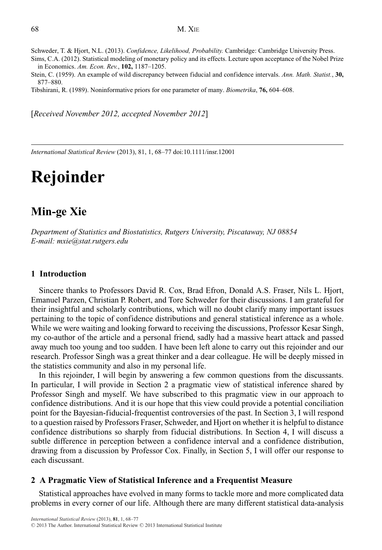Schweder, T. & Hjort, N.L. (2013). *Confidence, Likelihood, Probability.* Cambridge: Cambridge University Press.

Sims, C.A. (2012). Statistical modeling of monetary policy and its effects. Lecture upon acceptance of the Nobel Prize in Economics. *Am. Econ. Rev.*, **102,** 1187–1205.

Stein, C. (1959). An example of wild discrepancy between fiducial and confidence intervals. *Ann. Math. Statist.*, **30,** 877–880.

Tibshirani, R. (1989). Noninformative priors for one parameter of many. *Biometrika*, **76,** 604–608.

[*Received November 2012, accepted November 2012*]

*International Statistical Review* (2013), 81, 1, 68–77 doi:10.1111/insr.12001

# **Rejoinder**

# **Min-ge Xie**

*Department of Statistics and Biostatistics, Rutgers University, Piscataway, NJ 08854 E-mail: mxie@stat.rutgers.edu*

### **1 Introduction**

Sincere thanks to Professors David R. Cox, Brad Efron, Donald A.S. Fraser, Nils L. Hjort, Emanuel Parzen, Christian P. Robert, and Tore Schweder for their discussions. I am grateful for their insightful and scholarly contributions, which will no doubt clarify many important issues pertaining to the topic of confidence distributions and general statistical inference as a whole. While we were waiting and looking forward to receiving the discussions, Professor Kesar Singh, my co-author of the article and a personal friend, sadly had a massive heart attack and passed away much too young and too sudden. I have been left alone to carry out this rejoinder and our research. Professor Singh was a great thinker and a dear colleague. He will be deeply missed in the statistics community and also in my personal life.

In this rejoinder, I will begin by answering a few common questions from the discussants. In particular, I will provide in Section 2 a pragmatic view of statistical inference shared by Professor Singh and myself. We have subscribed to this pragmatic view in our approach to confidence distributions. And it is our hope that this view could provide a potential conciliation point for the Bayesian-fiducial-frequentist controversies of the past. In Section 3, I will respond to a question raised by Professors Fraser, Schweder, and Hjort on whether it is helpful to distance confidence distributions so sharply from fiducial distributions. In Section 4, I will discuss a subtle difference in perception between a confidence interval and a confidence distribution, drawing from a discussion by Professor Cox. Finally, in Section 5, I will offer our response to each discussant.

### **2 A Pragmatic View of Statistical Inference and a Frequentist Measure**

Statistical approaches have evolved in many forms to tackle more and more complicated data problems in every corner of our life. Although there are many different statistical data-analysis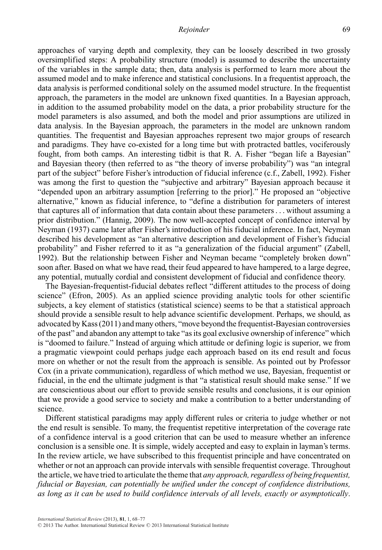approaches of varying depth and complexity, they can be loosely described in two grossly oversimplified steps: A probability structure (model) is assumed to describe the uncertainty of the variables in the sample data; then, data analysis is performed to learn more about the assumed model and to make inference and statistical conclusions. In a frequentist approach, the data analysis is performed conditional solely on the assumed model structure. In the frequentist approach, the parameters in the model are unknown fixed quantities. In a Bayesian approach, in addition to the assumed probability model on the data, a prior probability structure for the model parameters is also assumed, and both the model and prior assumptions are utilized in data analysis. In the Bayesian approach, the parameters in the model are unknown random quantities. The frequentist and Bayesian approaches represent two major groups of research and paradigms. They have co-existed for a long time but with protracted battles, vociferously fought, from both camps. An interesting tidbit is that R. A. Fisher "began life a Bayesian" and Bayesian theory (then referred to as "the theory of inverse probability") was "an integral part of the subject" before Fisher's introduction of fiducial inference (c.f., Zabell, 1992). Fisher was among the first to question the "subjective and arbitrary" Bayesian approach because it "depended upon an arbitrary assumption [referring to the prior]." He proposed an "objective alternative," known as fiducial inference, to "define a distribution for parameters of interest that captures all of information that data contain about these parameters... without assuming a prior distribution." (Hannig, 2009). The now well-accepted concept of confidence interval by Neyman (1937) came later after Fisher's introduction of his fiducial inference. In fact, Neyman described his development as "an alternative description and development of Fisher's fiducial probability" and Fisher referred to it as "a generalization of the fiducial argument" (Zabell, 1992). But the relationship between Fisher and Neyman became "completely broken down" soon after. Based on what we have read, their feud appeared to have hampered, to a large degree, any potential, mutually cordial and consistent development of fiducial and confidence theory.

The Bayesian-frequentist-fiducial debates reflect "different attitudes to the process of doing science" (Efron, 2005). As an applied science providing analytic tools for other scientific subjects, a key element of statistics (statistical science) seems to be that a statistical approach should provide a sensible result to help advance scientific development. Perhaps, we should, as advocated by Kass (2011) and many others, "move beyond the frequentist-Bayesian controversies of the past" and abandon any attempt to take "as its goal exclusive ownership of inference" which is "doomed to failure." Instead of arguing which attitude or defining logic is superior, we from a pragmatic viewpoint could perhaps judge each approach based on its end result and focus more on whether or not the result from the approach is sensible. As pointed out by Professor Cox (in a private communication), regardless of which method we use, Bayesian, frequentist or fiducial, in the end the ultimate judgment is that "a statistical result should make sense." If we are conscientious about our effort to provide sensible results and conclusions, it is our opinion that we provide a good service to society and make a contribution to a better understanding of science.

Different statistical paradigms may apply different rules or criteria to judge whether or not the end result is sensible. To many, the frequentist repetitive interpretation of the coverage rate of a confidence interval is a good criterion that can be used to measure whether an inference conclusion is a sensible one. It is simple, widely accepted and easy to explain in layman's terms. In the review article, we have subscribed to this frequentist principle and have concentrated on whether or not an approach can provide intervals with sensible frequentist coverage. Throughout the article, we have tried to articulate the theme that *any approach, regardless of being frequentist, fiducial or Bayesian, can potentially be unified under the concept of confidence distributions, as long as it can be used to build confidence intervals of all levels, exactly or asymptotically*.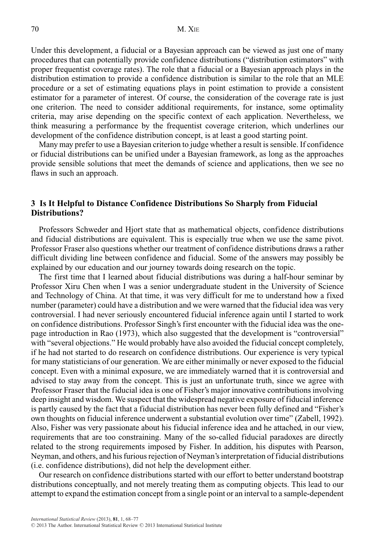Under this development, a fiducial or a Bayesian approach can be viewed as just one of many procedures that can potentially provide confidence distributions ("distribution estimators" with proper frequentist coverage rates). The role that a fiducial or a Bayesian approach plays in the distribution estimation to provide a confidence distribution is similar to the role that an MLE procedure or a set of estimating equations plays in point estimation to provide a consistent estimator for a parameter of interest. Of course, the consideration of the coverage rate is just one criterion. The need to consider additional requirements, for instance, some optimality criteria, may arise depending on the specific context of each application. Nevertheless, we think measuring a performance by the frequentist coverage criterion, which underlines our development of the confidence distribution concept, is at least a good starting point.

Many may prefer to use a Bayesian criterion to judge whether a result is sensible. If confidence or fiducial distributions can be unified under a Bayesian framework, as long as the approaches provide sensible solutions that meet the demands of science and applications, then we see no flaws in such an approach.

### **3 Is It Helpful to Distance Confidence Distributions So Sharply from Fiducial Distributions?**

Professors Schweder and Hjort state that as mathematical objects, confidence distributions and fiducial distributions are equivalent. This is especially true when we use the same pivot. Professor Fraser also questions whether our treatment of confidence distributions draws a rather difficult dividing line between confidence and fiducial. Some of the answers may possibly be explained by our education and our journey towards doing research on the topic.

The first time that I learned about fiducial distributions was during a half-hour seminar by Professor Xiru Chen when I was a senior undergraduate student in the University of Science and Technology of China. At that time, it was very difficult for me to understand how a fixed number (parameter) could have a distribution and we were warned that the fiducial idea was very controversial. I had never seriously encountered fiducial inference again until I started to work on confidence distributions. Professor Singh's first encounter with the fiducial idea was the onepage introduction in Rao (1973), which also suggested that the development is "controversial" with "several objections." He would probably have also avoided the fiducial concept completely, if he had not started to do research on confidence distributions. Our experience is very typical for many statisticians of our generation. We are either minimally or never exposed to the fiducial concept. Even with a minimal exposure, we are immediately warned that it is controversial and advised to stay away from the concept. This is just an unfortunate truth, since we agree with Professor Fraser that the fiducial idea is one of Fisher's major innovative contributions involving deep insight and wisdom. We suspect that the widespread negative exposure of fiducial inference is partly caused by the fact that a fiducial distribution has never been fully defined and "Fisher's own thoughts on fiducial inference underwent a substantial evolution over time" (Zabell, 1992). Also, Fisher was very passionate about his fiducial inference idea and he attached, in our view, requirements that are too constraining. Many of the so-called fiducial paradoxes are directly related to the strong requirements imposed by Fisher. In addition, his disputes with Pearson, Neyman, and others, and his furious rejection of Neyman's interpretation of fiducial distributions (i.e. confidence distributions), did not help the development either.

Our research on confidence distributions started with our effort to better understand bootstrap distributions conceptually, and not merely treating them as computing objects. This lead to our attempt to expand the estimation concept from a single point or an interval to a sample-dependent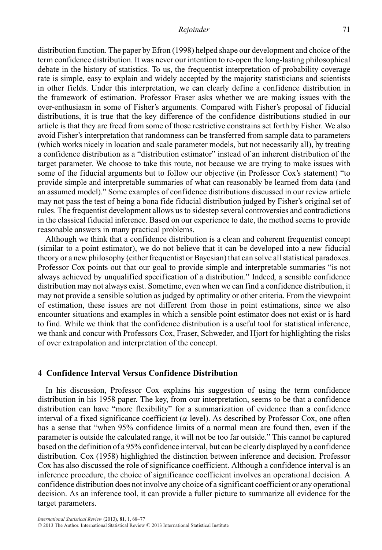distribution function. The paper by Efron (1998) helped shape our development and choice of the term confidence distribution. It was never our intention to re-open the long-lasting philosophical debate in the history of statistics. To us, the frequentist interpretation of probability coverage rate is simple, easy to explain and widely accepted by the majority statisticians and scientists in other fields. Under this interpretation, we can clearly define a confidence distribution in the framework of estimation. Professor Fraser asks whether we are making issues with the over-enthusiasm in some of Fisher's arguments. Compared with Fisher's proposal of fiducial distributions, it is true that the key difference of the confidence distributions studied in our article is that they are freed from some of those restrictive constrains set forth by Fisher. We also avoid Fisher's interpretation that randomness can be transferred from sample data to parameters (which works nicely in location and scale parameter models, but not necessarily all), by treating a confidence distribution as a "distribution estimator" instead of an inherent distribution of the target parameter. We choose to take this route, not because we are trying to make issues with some of the fiducial arguments but to follow our objective (in Professor Cox's statement) "to provide simple and interpretable summaries of what can reasonably be learned from data (and an assumed model)." Some examples of confidence distributions discussed in our review article may not pass the test of being a bona fide fiducial distribution judged by Fisher's original set of rules. The frequentist development allows us to sidestep several controversies and contradictions in the classical fiducial inference. Based on our experience to date, the method seems to provide reasonable answers in many practical problems.

Although we think that a confidence distribution is a clean and coherent frequentist concept (similar to a point estimator), we do not believe that it can be developed into a new fiducial theory or a new philosophy (either frequentist or Bayesian) that can solve all statistical paradoxes. Professor Cox points out that our goal to provide simple and interpretable summaries "is not always achieved by unqualified specification of a distribution." Indeed, a sensible confidence distribution may not always exist. Sometime, even when we can find a confidence distribution, it may not provide a sensible solution as judged by optimality or other criteria. From the viewpoint of estimation, these issues are not different from those in point estimations, since we also encounter situations and examples in which a sensible point estimator does not exist or is hard to find. While we think that the confidence distribution is a useful tool for statistical inference, we thank and concur with Professors Cox, Fraser, Schweder, and Hjort for highlighting the risks of over extrapolation and interpretation of the concept.

### **4 Confidence Interval Versus Confidence Distribution**

In his discussion, Professor Cox explains his suggestion of using the term confidence distribution in his 1958 paper. The key, from our interpretation, seems to be that a confidence distribution can have "more flexibility" for a summarization of evidence than a confidence interval of a fixed significance coefficient ( $\alpha$  level). As described by Professor Cox, one often has a sense that "when 95% confidence limits of a normal mean are found then, even if the parameter is outside the calculated range, it will not be too far outside." This cannot be captured based on the definition of a 95% confidence interval, but can be clearly displayed by a confidence distribution. Cox (1958) highlighted the distinction between inference and decision. Professor Cox has also discussed the role of significance coefficient. Although a confidence interval is an inference procedure, the choice of significance coefficient involves an operational decision. A confidence distribution does not involve any choice of a significant coefficient or any operational decision. As an inference tool, it can provide a fuller picture to summarize all evidence for the target parameters.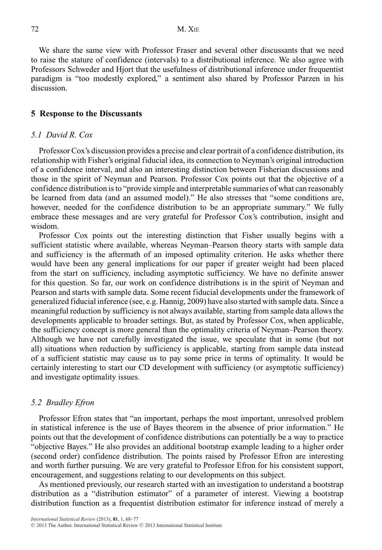We share the same view with Professor Fraser and several other discussants that we need to raise the stature of confidence (intervals) to a distributional inference. We also agree with Professors Schweder and Hjort that the usefulness of distributional inference under frequentist paradigm is "too modestly explored," a sentiment also shared by Professor Parzen in his discussion.

### **5 Response to the Discussants**

### *5.1 David R. Cox*

Professor Cox's discussion provides a precise and clear portrait of a confidence distribution, its relationship with Fisher's original fiducial idea, its connection to Neyman's original introduction of a confidence interval, and also an interesting distinction between Fisherian discussions and those in the spirit of Neyman and Pearson. Professor Cox points out that the objective of a confidence distribution is to "provide simple and interpretable summaries of what can reasonably be learned from data (and an assumed model)." He also stresses that "some conditions are, however, needed for the confidence distribution to be an appropriate summary." We fully embrace these messages and are very grateful for Professor Cox's contribution, insight and wisdom.

Professor Cox points out the interesting distinction that Fisher usually begins with a sufficient statistic where available, whereas Neyman–Pearson theory starts with sample data and sufficiency is the aftermath of an imposed optimality criterion. He asks whether there would have been any general implications for our paper if greater weight had been placed from the start on sufficiency, including asymptotic sufficiency. We have no definite answer for this question. So far, our work on confidence distributions is in the spirit of Neyman and Pearson and starts with sample data. Some recent fiducial developments under the framework of generalized fiducial inference (see, e.g. Hannig, 2009) have also started with sample data. Since a meaningful reduction by sufficiency is not always available, starting from sample data allows the developments applicable to broader settings. But, as stated by Professor Cox, when applicable, the sufficiency concept is more general than the optimality criteria of Neyman–Pearson theory. Although we have not carefully investigated the issue, we speculate that in some (but not all) situations when reduction by sufficiency is applicable, starting from sample data instead of a sufficient statistic may cause us to pay some price in terms of optimality. It would be certainly interesting to start our CD development with sufficiency (or asymptotic sufficiency) and investigate optimality issues.

### *5.2 Bradley Efron*

Professor Efron states that "an important, perhaps the most important, unresolved problem in statistical inference is the use of Bayes theorem in the absence of prior information." He points out that the development of confidence distributions can potentially be a way to practice "objective Bayes." He also provides an additional bootstrap example leading to a higher order (second order) confidence distribution. The points raised by Professor Efron are interesting and worth further pursuing. We are very grateful to Professor Efron for his consistent support, encouragement, and suggestions relating to our developments on this subject.

As mentioned previously, our research started with an investigation to understand a bootstrap distribution as a "distribution estimator" of a parameter of interest. Viewing a bootstrap distribution function as a frequentist distribution estimator for inference instead of merely a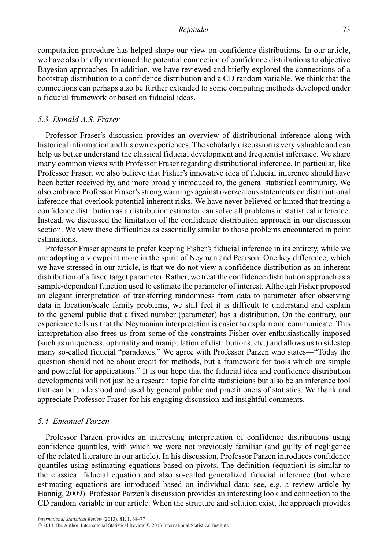computation procedure has helped shape our view on confidence distributions. In our article, we have also briefly mentioned the potential connection of confidence distributions to objective Bayesian approaches. In addition, we have reviewed and briefly explored the connections of a bootstrap distribution to a confidence distribution and a CD random variable. We think that the connections can perhaps also be further extended to some computing methods developed under a fiducial framework or based on fiducial ideas.

### *5.3 Donald A.S. Fraser*

Professor Fraser's discussion provides an overview of distributional inference along with historical information and his own experiences. The scholarly discussion is very valuable and can help us better understand the classical fiducial development and frequentist inference. We share many common views with Professor Fraser regarding distributional inference. In particular, like Professor Fraser, we also believe that Fisher's innovative idea of fiducial inference should have been better received by, and more broadly introduced to, the general statistical community. We also embrace Professor Fraser's strong warnings against overzealous statements on distributional inference that overlook potential inherent risks. We have never believed or hinted that treating a confidence distribution as a distribution estimator can solve all problems in statistical inference. Instead, we discussed the limitation of the confidence distribution approach in our discussion section. We view these difficulties as essentially similar to those problems encountered in point estimations.

Professor Fraser appears to prefer keeping Fisher's fiducial inference in its entirety, while we are adopting a viewpoint more in the spirit of Neyman and Pearson. One key difference, which we have stressed in our article, is that we do not view a confidence distribution as an inherent distribution of a fixed target parameter. Rather, we treat the confidence distribution approach as a sample-dependent function used to estimate the parameter of interest. Although Fisher proposed an elegant interpretation of transferring randomness from data to parameter after observing data in location/scale family problems, we still feel it is difficult to understand and explain to the general public that a fixed number (parameter) has a distribution. On the contrary, our experience tells us that the Neymanian interpretation is easier to explain and communicate. This interpretation also frees us from some of the constraints Fisher over-enthusiastically imposed (such as uniqueness, optimality and manipulation of distributions, etc.) and allows us to sidestep many so-called fiducial "paradoxes." We agree with Professor Parzen who states—"Today the question should not be about credit for methods, but a framework for tools which are simple and powerful for applications." It is our hope that the fiducial idea and confidence distribution developments will not just be a research topic for elite statisticians but also be an inference tool that can be understood and used by general public and practitioners of statistics. We thank and appreciate Professor Fraser for his engaging discussion and insightful comments.

### *5.4 Emanuel Parzen*

Professor Parzen provides an interesting interpretation of confidence distributions using confidence quantiles, with which we were not previously familiar (and guilty of negligence of the related literature in our article). In his discussion, Professor Parzen introduces confidence quantiles using estimating equations based on pivots. The definition (equation) is similar to the classical fiducial equation and also so-called generalized fiducial inference (but where estimating equations are introduced based on individual data; see, e.g. a review article by Hannig, 2009). Professor Parzen's discussion provides an interesting look and connection to the CD random variable in our article. When the structure and solution exist, the approach provides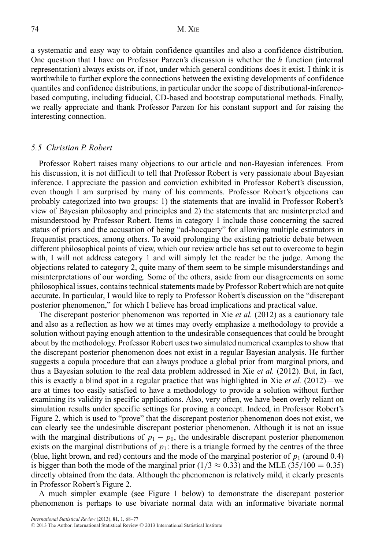a systematic and easy way to obtain confidence quantiles and also a confidence distribution. One question that I have on Professor Parzen's discussion is whether the *h* function (internal representation) always exists or, if not, under which general conditions does it exist. I think it is worthwhile to further explore the connections between the existing developments of confidence quantiles and confidence distributions, in particular under the scope of distributional-inferencebased computing, including fiducial, CD-based and bootstrap computational methods. Finally, we really appreciate and thank Professor Parzen for his constant support and for raising the interesting connection.

### *5.5 Christian P. Robert*

Professor Robert raises many objections to our article and non-Bayesian inferences. From his discussion, it is not difficult to tell that Professor Robert is very passionate about Bayesian inference. I appreciate the passion and conviction exhibited in Professor Robert's discussion, even though I am surprised by many of his comments. Professor Robert's objections can probably categorized into two groups: 1) the statements that are invalid in Professor Robert's view of Bayesian philosophy and principles and 2) the statements that are misinterpreted and misunderstood by Professor Robert. Items in category 1 include those concerning the sacred status of priors and the accusation of being "ad-hocquery" for allowing multiple estimators in frequentist practices, among others. To avoid prolonging the existing patriotic debate between different philosophical points of view, which our review article has set out to overcome to begin with, I will not address category 1 and will simply let the reader be the judge. Among the objections related to category 2, quite many of them seem to be simple misunderstandings and misinterpretations of our wording. Some of the others, aside from our disagreements on some philosophical issues, contains technical statements made by Professor Robert which are not quite accurate. In particular, I would like to reply to Professor Robert's discussion on the "discrepant posterior phenomenon," for which I believe has broad implications and practical value.

The discrepant posterior phenomenon was reported in Xie *et al.* (2012) as a cautionary tale and also as a reflection as how we at times may overly emphasize a methodology to provide a solution without paying enough attention to the undesirable consequences that could be brought about by the methodology. Professor Robert uses two simulated numerical examples to show that the discrepant posterior phenomenon does not exist in a regular Bayesian analysis. He further suggests a copula procedure that can always produce a global prior from marginal priors, and thus a Bayesian solution to the real data problem addressed in Xie *et al.* (2012). But, in fact, this is exactly a blind spot in a regular practice that was highlighted in Xie *et al.* (2012)—we are at times too easily satisfied to have a methodology to provide a solution without further examining its validity in specific applications. Also, very often, we have been overly reliant on simulation results under specific settings for proving a concept. Indeed, in Professor Robert's Figure 2, which is used to "prove" that the discrepant posterior phenomenon does not exist, we can clearly see the undesirable discrepant posterior phenomenon. Although it is not an issue with the marginal distributions of  $p_1 - p_0$ , the undesirable discrepant posterior phenomenon exists on the marginal distributions of  $p_1$ : there is a triangle formed by the centres of the three (blue, light brown, and red) contours and the mode of the marginal posterior of  $p_1$  (around 0.4) is bigger than both the mode of the marginal prior  $(1/3 \approx 0.33)$  and the MLE (35/100 = 0.35) directly obtained from the data. Although the phenomenon is relatively mild, it clearly presents in Professor Robert's Figure 2.

A much simpler example (see Figure 1 below) to demonstrate the discrepant posterior phenomenon is perhaps to use bivariate normal data with an informative bivariate normal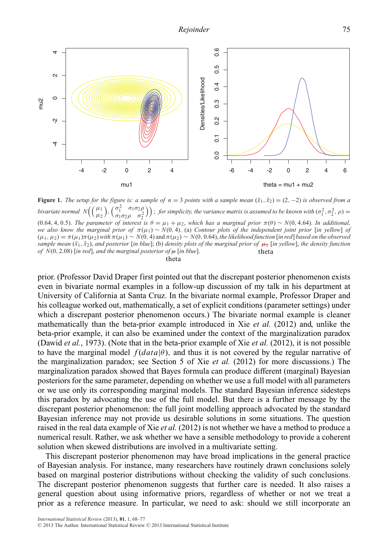

**Figure 1.** The setup for the figure is: a sample of  $n = 3$  points with a sample mean  $(\bar{x}_1, \bar{x}_2) = (2, -2)$  is observed from a bivariate normal  $N\left(\left(\frac{\mu_1}{\mu_2}\right)\right)$ ),  $\begin{pmatrix} \sigma_1^2 & \sigma_1 \sigma_2 \rho \\ \sigma_1 & \sigma_2 \end{pmatrix}$  $\sigma_1^2 \quad \sigma_1 \sigma_2 \rho \ \sigma_2^2$ )); for simplicity, the variance matrix is assumed to be known with  $(\sigma_1^2, \sigma_2^2, \rho) =$ (0.64, 4, 0.5). *The parameter of interest is*  $\theta = \mu_1 + \mu_2$ , *which has a marginal prior*  $\pi(\theta) \sim N(0, 4.64)$ . *In additional, we also know the marginal prior of*  $\pi(\mu_1) \sim N(0, 4)$ . (a) *Contour plots of the independent joint prior* [*in yellow*] *of*  $(\mu_1, \mu_2) = \pi(\mu_1)\pi(\mu_2)$  *with*  $\pi(\mu_1) \sim N(0, 4)$  and  $\pi(\mu_2) \sim N(0, 0.64)$ , *the likelihood function* [*in red*] *based on the observed sample mean*  $(\bar{x}_1, \bar{x}_2)$ , *and posterior* [*in blue*]; (b) *density plots of the marginal prior of*  $\#$ <sub>1</sub> [*in yellow*], *the density function* of  $N(0, 2.08)$  [*in red*], *and the marginal posterior* of  $\#$  [*in b of N*(0, 2.08) [*in red*], *and the marginal posterior of*  $\#$  [*in blue*]. theta theta

prior. (Professor David Draper first pointed out that the discrepant posterior phenomenon exists even in bivariate normal examples in a follow-up discussion of my talk in his department at University of California at Santa Cruz. In the bivariate normal example, Professor Draper and his colleague worked out, mathematically, a set of explicit conditions (parameter settings) under which a discrepant posterior phenomenon occurs.) The bivariate normal example is cleaner mathematically than the beta-prior example introduced in Xie *et al.* (2012) and, unlike the beta-prior example, it can also be examined under the context of the marginalization paradox (Dawid *et al.*, 1973). (Note that in the beta-prior example of Xie *et al.* (2012), it is not possible to have the marginal model  $f(data|\theta)$ , and thus it is not covered by the regular narrative of the marginalization paradox; see Section 5 of Xie *et al.* (2012) for more discussions.) The marginalization paradox showed that Bayes formula can produce different (marginal) Bayesian posteriors for the same parameter, depending on whether we use a full model with all parameters or we use only its corresponding marginal models. The standard Bayesian inference sidesteps this paradox by advocating the use of the full model. But there is a further message by the discrepant posterior phenomenon: the full joint modelling approach advocated by the standard Bayesian inference may not provide us desirable solutions in some situations. The question raised in the real data example of Xie *et al.* (2012) is not whether we have a method to produce a numerical result. Rather, we ask whether we have a sensible methodology to provide a coherent solution when skewed distributions are involved in a multivariate setting.

This discrepant posterior phenomenon may have broad implications in the general practice of Bayesian analysis. For instance, many researchers have routinely drawn conclusions solely based on marginal posterior distributions without checking the validity of such conclusions. The discrepant posterior phenomenon suggests that further care is needed. It also raises a general question about using informative priors, regardless of whether or not we treat a prior as a reference measure. In particular, we need to ask: should we still incorporate an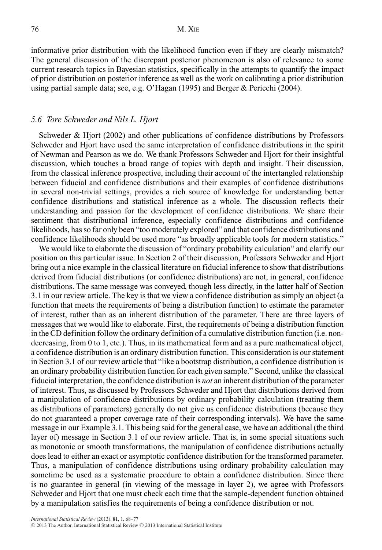informative prior distribution with the likelihood function even if they are clearly mismatch? The general discussion of the discrepant posterior phenomenon is also of relevance to some current research topics in Bayesian statistics, specifically in the attempts to quantify the impact of prior distribution on posterior inference as well as the work on calibrating a prior distribution using partial sample data; see, e.g. O'Hagan (1995) and Berger & Pericchi (2004).

### *5.6 Tore Schweder and Nils L. Hjort*

Schweder & Hjort (2002) and other publications of confidence distributions by Professors Schweder and Hjort have used the same interpretation of confidence distributions in the spirit of Newman and Pearson as we do. We thank Professors Schweder and Hjort for their insightful discussion, which touches a broad range of topics with depth and insight. Their discussion, from the classical inference prospective, including their account of the intertangled relationship between fiducial and confidence distributions and their examples of confidence distributions in several non-trivial settings, provides a rich source of knowledge for understanding better confidence distributions and statistical inference as a whole. The discussion reflects their understanding and passion for the development of confidence distributions. We share their sentiment that distributional inference, especially confidence distributions and confidence likelihoods, has so far only been "too moderately explored" and that confidence distributions and confidence likelihoods should be used more "as broadly applicable tools for modern statistics."

We would like to elaborate the discussion of "ordinary probability calculation" and clarify our position on this particular issue. In Section 2 of their discussion, Professors Schweder and Hjort bring out a nice example in the classical literature on fiducial inference to show that distributions derived from fiducial distributions (or confidence distributions) are not, in general, confidence distributions. The same message was conveyed, though less directly, in the latter half of Section 3.1 in our review article. The key is that we view a confidence distribution as simply an object (a function that meets the requirements of being a distribution function) to estimate the parameter of interest, rather than as an inherent distribution of the parameter. There are three layers of messages that we would like to elaborate. First, the requirements of being a distribution function in the CD definition follow the ordinary definition of a cumulative distribution function (i.e. nondecreasing, from 0 to 1, etc.). Thus, in its mathematical form and as a pure mathematical object, a confidence distribution is an ordinary distribution function. This consideration is our statement in Section 3.1 of our review article that "like a bootstrap distribution, a confidence distribution is an ordinary probability distribution function for each given sample." Second, unlike the classical fiducial interpretation, the confidence distribution is *not* an inherent distribution of the parameter of interest. Thus, as discussed by Professors Schweder and Hjort that distributions derived from a manipulation of confidence distributions by ordinary probability calculation (treating them as distributions of parameters) generally do not give us confidence distributions (because they do not guaranteed a proper coverage rate of their corresponding intervals). We have the same message in our Example 3.1. This being said for the general case, we have an additional (the third layer of) message in Section 3.1 of our review article. That is, in some special situations such as monotonic or smooth transformations, the manipulation of confidence distributions actually does lead to either an exact or asymptotic confidence distribution for the transformed parameter. Thus, a manipulation of confidence distributions using ordinary probability calculation may sometime be used as a systematic procedure to obtain a confidence distribution. Since there is no guarantee in general (in viewing of the message in layer 2), we agree with Professors Schweder and Hjort that one must check each time that the sample-dependent function obtained by a manipulation satisfies the requirements of being a confidence distribution or not.